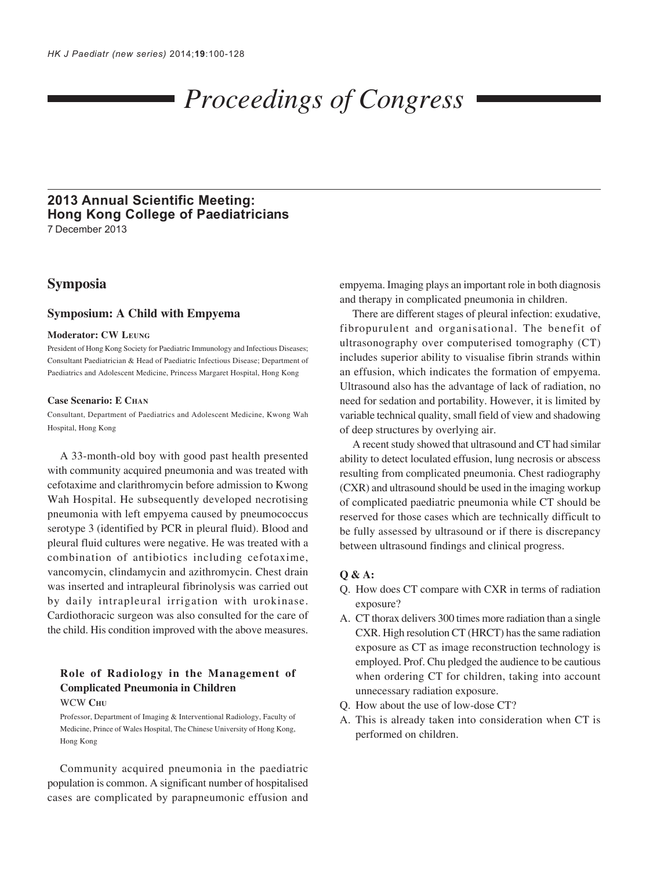# *Proceedings of Congress*

# **2013 Annual Scientific Meeting: Hong Kong College of Paediatricians** 7 December 2013

# **Symposia**

### **Symposium: A Child with Empyema**

### **Moderator: CW LEUNG**

President of Hong Kong Society for Paediatric Immunology and Infectious Diseases; Consultant Paediatrician & Head of Paediatric Infectious Disease; Department of Paediatrics and Adolescent Medicine, Princess Margaret Hospital, Hong Kong

#### **Case Scenario: E CHAN**

Consultant, Department of Paediatrics and Adolescent Medicine, Kwong Wah Hospital, Hong Kong

A 33-month-old boy with good past health presented with community acquired pneumonia and was treated with cefotaxime and clarithromycin before admission to Kwong Wah Hospital. He subsequently developed necrotising pneumonia with left empyema caused by pneumococcus serotype 3 (identified by PCR in pleural fluid). Blood and pleural fluid cultures were negative. He was treated with a combination of antibiotics including cefotaxime, vancomycin, clindamycin and azithromycin. Chest drain was inserted and intrapleural fibrinolysis was carried out by daily intrapleural irrigation with urokinase. Cardiothoracic surgeon was also consulted for the care of the child. His condition improved with the above measures.

### **Role of Radiology in the Management of Complicated Pneumonia in Children** WCW **CHU**

Professor, Department of Imaging & Interventional Radiology, Faculty of Medicine, Prince of Wales Hospital, The Chinese University of Hong Kong, Hong Kong

Community acquired pneumonia in the paediatric population is common. A significant number of hospitalised cases are complicated by parapneumonic effusion and empyema. Imaging plays an important role in both diagnosis and therapy in complicated pneumonia in children.

There are different stages of pleural infection: exudative, fibropurulent and organisational. The benefit of ultrasonography over computerised tomography (CT) includes superior ability to visualise fibrin strands within an effusion, which indicates the formation of empyema. Ultrasound also has the advantage of lack of radiation, no need for sedation and portability. However, it is limited by variable technical quality, small field of view and shadowing of deep structures by overlying air.

A recent study showed that ultrasound and CT had similar ability to detect loculated effusion, lung necrosis or abscess resulting from complicated pneumonia. Chest radiography (CXR) and ultrasound should be used in the imaging workup of complicated paediatric pneumonia while CT should be reserved for those cases which are technically difficult to be fully assessed by ultrasound or if there is discrepancy between ultrasound findings and clinical progress.

### **Q & A:**

- Q. How does CT compare with CXR in terms of radiation exposure?
- A. CT thorax delivers 300 times more radiation than a single CXR. High resolution CT (HRCT) has the same radiation exposure as CT as image reconstruction technology is employed. Prof. Chu pledged the audience to be cautious when ordering CT for children, taking into account unnecessary radiation exposure.
- Q. How about the use of low-dose CT?
- A. This is already taken into consideration when CT is performed on children.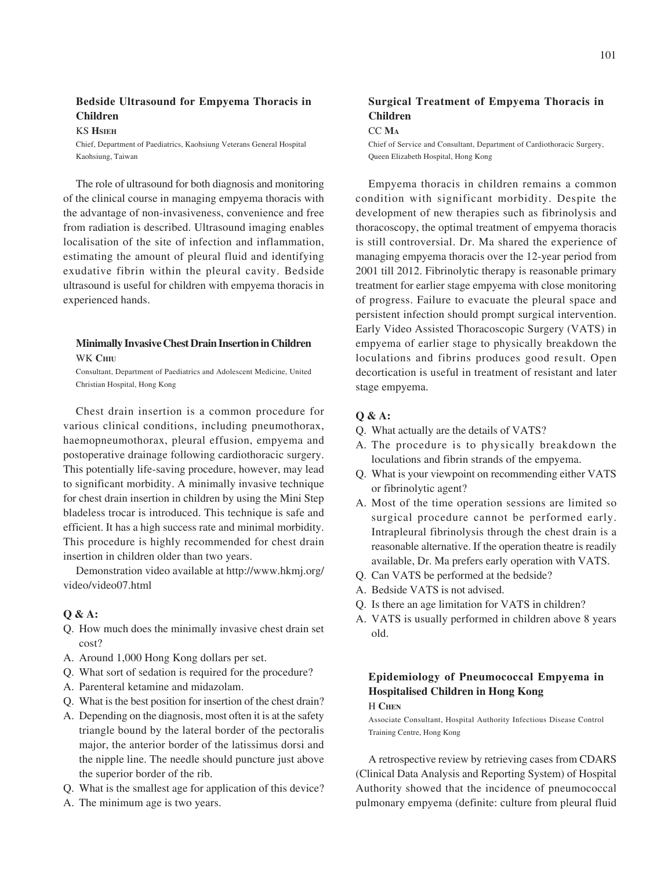### **Bedside Ultrasound for Empyema Thoracis in Children**

KS **HSIEH**

Chief, Department of Paediatrics, Kaohsiung Veterans General Hospital Kaohsiung, Taiwan

The role of ultrasound for both diagnosis and monitoring of the clinical course in managing empyema thoracis with the advantage of non-invasiveness, convenience and free from radiation is described. Ultrasound imaging enables localisation of the site of infection and inflammation, estimating the amount of pleural fluid and identifying exudative fibrin within the pleural cavity. Bedside ultrasound is useful for children with empyema thoracis in experienced hands.

### **Minimally Invasive Chest Drain Insertion in Children** WK **CHIU**

Consultant, Department of Paediatrics and Adolescent Medicine, United Christian Hospital, Hong Kong

Chest drain insertion is a common procedure for various clinical conditions, including pneumothorax, haemopneumothorax, pleural effusion, empyema and postoperative drainage following cardiothoracic surgery. This potentially life-saving procedure, however, may lead to significant morbidity. A minimally invasive technique for chest drain insertion in children by using the Mini Step bladeless trocar is introduced. This technique is safe and efficient. It has a high success rate and minimal morbidity. This procedure is highly recommended for chest drain insertion in children older than two years.

Demonstration video available at http://www.hkmj.org/ video/video07.html

### **Q & A:**

- Q. How much does the minimally invasive chest drain set cost?
- A. Around 1,000 Hong Kong dollars per set.
- Q. What sort of sedation is required for the procedure?
- A. Parenteral ketamine and midazolam.
- Q. What is the best position for insertion of the chest drain?
- A. Depending on the diagnosis, most often it is at the safety triangle bound by the lateral border of the pectoralis major, the anterior border of the latissimus dorsi and the nipple line. The needle should puncture just above the superior border of the rib.
- Q. What is the smallest age for application of this device?
- A. The minimum age is two years.

# **Surgical Treatment of Empyema Thoracis in Children**

### CC **MA**

Chief of Service and Consultant, Department of Cardiothoracic Surgery, Queen Elizabeth Hospital, Hong Kong

Empyema thoracis in children remains a common condition with significant morbidity. Despite the development of new therapies such as fibrinolysis and thoracoscopy, the optimal treatment of empyema thoracis is still controversial. Dr. Ma shared the experience of managing empyema thoracis over the 12-year period from 2001 till 2012. Fibrinolytic therapy is reasonable primary treatment for earlier stage empyema with close monitoring of progress. Failure to evacuate the pleural space and persistent infection should prompt surgical intervention. Early Video Assisted Thoracoscopic Surgery (VATS) in empyema of earlier stage to physically breakdown the loculations and fibrins produces good result. Open decortication is useful in treatment of resistant and later stage empyema.

### **Q & A:**

- Q. What actually are the details of VATS?
- A. The procedure is to physically breakdown the loculations and fibrin strands of the empyema.
- Q. What is your viewpoint on recommending either VATS or fibrinolytic agent?
- A. Most of the time operation sessions are limited so surgical procedure cannot be performed early. Intrapleural fibrinolysis through the chest drain is a reasonable alternative. If the operation theatre is readily available, Dr. Ma prefers early operation with VATS.
- Q. Can VATS be performed at the bedside?
- A. Bedside VATS is not advised.
- Q. Is there an age limitation for VATS in children?
- A. VATS is usually performed in children above 8 years old.

# **Epidemiology of Pneumococcal Empyema in Hospitalised Children in Hong Kong**

# H **CHEN**

Associate Consultant, Hospital Authority Infectious Disease Control Training Centre, Hong Kong

A retrospective review by retrieving cases from CDARS (Clinical Data Analysis and Reporting System) of Hospital Authority showed that the incidence of pneumococcal pulmonary empyema (definite: culture from pleural fluid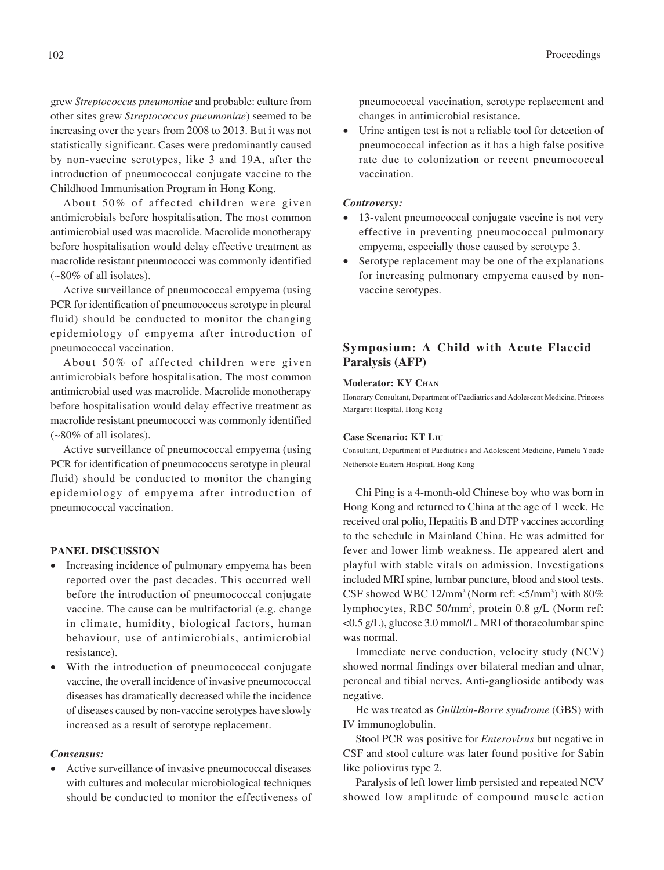grew *Streptococcus pneumoniae* and probable: culture from other sites grew *Streptococcus pneumoniae*) seemed to be increasing over the years from 2008 to 2013. But it was not statistically significant. Cases were predominantly caused by non-vaccine serotypes, like 3 and 19A, after the introduction of pneumococcal conjugate vaccine to the Childhood Immunisation Program in Hong Kong.

About 50% of affected children were given antimicrobials before hospitalisation. The most common antimicrobial used was macrolide. Macrolide monotherapy before hospitalisation would delay effective treatment as macrolide resistant pneumococci was commonly identified (~80% of all isolates).

Active surveillance of pneumococcal empyema (using PCR for identification of pneumococcus serotype in pleural fluid) should be conducted to monitor the changing epidemiology of empyema after introduction of pneumococcal vaccination.

About 50% of affected children were given antimicrobials before hospitalisation. The most common antimicrobial used was macrolide. Macrolide monotherapy before hospitalisation would delay effective treatment as macrolide resistant pneumococci was commonly identified (~80% of all isolates).

Active surveillance of pneumococcal empyema (using PCR for identification of pneumococcus serotype in pleural fluid) should be conducted to monitor the changing epidemiology of empyema after introduction of pneumococcal vaccination.

### **PANEL DISCUSSION**

- Increasing incidence of pulmonary empyema has been reported over the past decades. This occurred well before the introduction of pneumococcal conjugate vaccine. The cause can be multifactorial (e.g. change in climate, humidity, biological factors, human behaviour, use of antimicrobials, antimicrobial resistance).
- With the introduction of pneumococcal conjugate vaccine, the overall incidence of invasive pneumococcal diseases has dramatically decreased while the incidence of diseases caused by non-vaccine serotypes have slowly increased as a result of serotype replacement.

### *Consensus:*

Active surveillance of invasive pneumococcal diseases with cultures and molecular microbiological techniques should be conducted to monitor the effectiveness of pneumococcal vaccination, serotype replacement and changes in antimicrobial resistance.

• Urine antigen test is not a reliable tool for detection of pneumococcal infection as it has a high false positive rate due to colonization or recent pneumococcal vaccination.

#### *Controversy:*

- 13-valent pneumococcal conjugate vaccine is not very effective in preventing pneumococcal pulmonary empyema, especially those caused by serotype 3.
- Serotype replacement may be one of the explanations for increasing pulmonary empyema caused by nonvaccine serotypes.

# **Symposium: A Child with Acute Flaccid Paralysis (AFP)**

### **Moderator: KY CHAN**

Honorary Consultant, Department of Paediatrics and Adolescent Medicine, Princess Margaret Hospital, Hong Kong

#### **Case Scenario: KT LIU**

Consultant, Department of Paediatrics and Adolescent Medicine, Pamela Youde Nethersole Eastern Hospital, Hong Kong

Chi Ping is a 4-month-old Chinese boy who was born in Hong Kong and returned to China at the age of 1 week. He received oral polio, Hepatitis B and DTP vaccines according to the schedule in Mainland China. He was admitted for fever and lower limb weakness. He appeared alert and playful with stable vitals on admission. Investigations included MRI spine, lumbar puncture, blood and stool tests. CSF showed WBC  $12/\text{mm}^3$  (Norm ref: <5/mm<sup>3</sup>) with  $80\%$ lymphocytes, RBC 50/mm<sup>3</sup>, protein 0.8 g/L (Norm ref: <0.5 g/L), glucose 3.0 mmol/L. MRI of thoracolumbar spine was normal.

Immediate nerve conduction, velocity study (NCV) showed normal findings over bilateral median and ulnar, peroneal and tibial nerves. Anti-ganglioside antibody was negative.

He was treated as *Guillain-Barre syndrome* (GBS) with IV immunoglobulin.

Stool PCR was positive for *Enterovirus* but negative in CSF and stool culture was later found positive for Sabin like poliovirus type 2.

Paralysis of left lower limb persisted and repeated NCV showed low amplitude of compound muscle action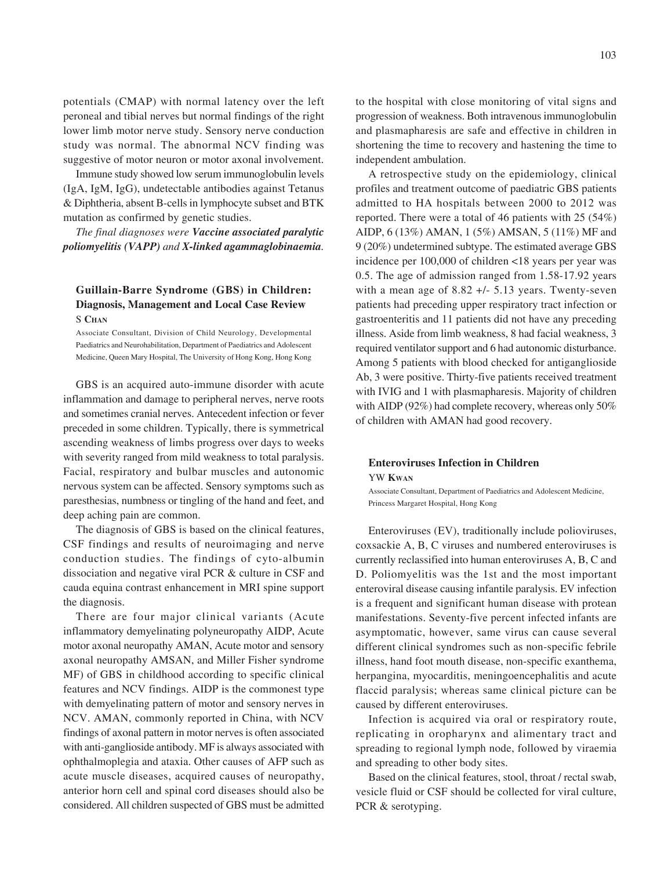potentials (CMAP) with normal latency over the left peroneal and tibial nerves but normal findings of the right lower limb motor nerve study. Sensory nerve conduction study was normal. The abnormal NCV finding was suggestive of motor neuron or motor axonal involvement.

Immune study showed low serum immunoglobulin levels (IgA, IgM, IgG), undetectable antibodies against Tetanus & Diphtheria, absent B-cells in lymphocyte subset and BTK mutation as confirmed by genetic studies.

*The final diagnoses were Vaccine associated paralytic poliomyelitis (VAPP) and X-linked agammaglobinaemia.*

# **Guillain-Barre Syndrome (GBS) in Children: Diagnosis, Management and Local Case Review** S **CHAN**

Associate Consultant, Division of Child Neurology, Developmental Paediatrics and Neurohabilitation, Department of Paediatrics and Adolescent Medicine, Queen Mary Hospital, The University of Hong Kong, Hong Kong

GBS is an acquired auto-immune disorder with acute inflammation and damage to peripheral nerves, nerve roots and sometimes cranial nerves. Antecedent infection or fever preceded in some children. Typically, there is symmetrical ascending weakness of limbs progress over days to weeks with severity ranged from mild weakness to total paralysis. Facial, respiratory and bulbar muscles and autonomic nervous system can be affected. Sensory symptoms such as paresthesias, numbness or tingling of the hand and feet, and deep aching pain are common.

The diagnosis of GBS is based on the clinical features, CSF findings and results of neuroimaging and nerve conduction studies. The findings of cyto-albumin dissociation and negative viral PCR & culture in CSF and cauda equina contrast enhancement in MRI spine support the diagnosis.

There are four major clinical variants (Acute inflammatory demyelinating polyneuropathy AIDP, Acute motor axonal neuropathy AMAN, Acute motor and sensory axonal neuropathy AMSAN, and Miller Fisher syndrome MF) of GBS in childhood according to specific clinical features and NCV findings. AIDP is the commonest type with demyelinating pattern of motor and sensory nerves in NCV. AMAN, commonly reported in China, with NCV findings of axonal pattern in motor nerves is often associated with anti-ganglioside antibody. MF is always associated with ophthalmoplegia and ataxia. Other causes of AFP such as acute muscle diseases, acquired causes of neuropathy, anterior horn cell and spinal cord diseases should also be considered. All children suspected of GBS must be admitted

to the hospital with close monitoring of vital signs and progression of weakness. Both intravenous immunoglobulin and plasmapharesis are safe and effective in children in shortening the time to recovery and hastening the time to independent ambulation.

A retrospective study on the epidemiology, clinical profiles and treatment outcome of paediatric GBS patients admitted to HA hospitals between 2000 to 2012 was reported. There were a total of 46 patients with 25 (54%) AIDP, 6 (13%) AMAN, 1 (5%) AMSAN, 5 (11%) MF and 9 (20%) undetermined subtype. The estimated average GBS incidence per 100,000 of children <18 years per year was 0.5. The age of admission ranged from 1.58-17.92 years with a mean age of 8.82 +/- 5.13 years. Twenty-seven patients had preceding upper respiratory tract infection or gastroenteritis and 11 patients did not have any preceding illness. Aside from limb weakness, 8 had facial weakness, 3 required ventilator support and 6 had autonomic disturbance. Among 5 patients with blood checked for antiganglioside Ab, 3 were positive. Thirty-five patients received treatment with IVIG and 1 with plasmapharesis. Majority of children with AIDP (92%) had complete recovery, whereas only 50% of children with AMAN had good recovery.

### **Enteroviruses Infection in Children** YW **KWAN**

Associate Consultant, Department of Paediatrics and Adolescent Medicine, Princess Margaret Hospital, Hong Kong

Enteroviruses (EV), traditionally include polioviruses, coxsackie A, B, C viruses and numbered enteroviruses is currently reclassified into human enteroviruses A, B, C and D. Poliomyelitis was the 1st and the most important enteroviral disease causing infantile paralysis. EV infection is a frequent and significant human disease with protean manifestations. Seventy-five percent infected infants are asymptomatic, however, same virus can cause several different clinical syndromes such as non-specific febrile illness, hand foot mouth disease, non-specific exanthema, herpangina, myocarditis, meningoencephalitis and acute flaccid paralysis; whereas same clinical picture can be caused by different enteroviruses.

Infection is acquired via oral or respiratory route, replicating in oropharynx and alimentary tract and spreading to regional lymph node, followed by viraemia and spreading to other body sites.

Based on the clinical features, stool, throat / rectal swab, vesicle fluid or CSF should be collected for viral culture, PCR & serotyping.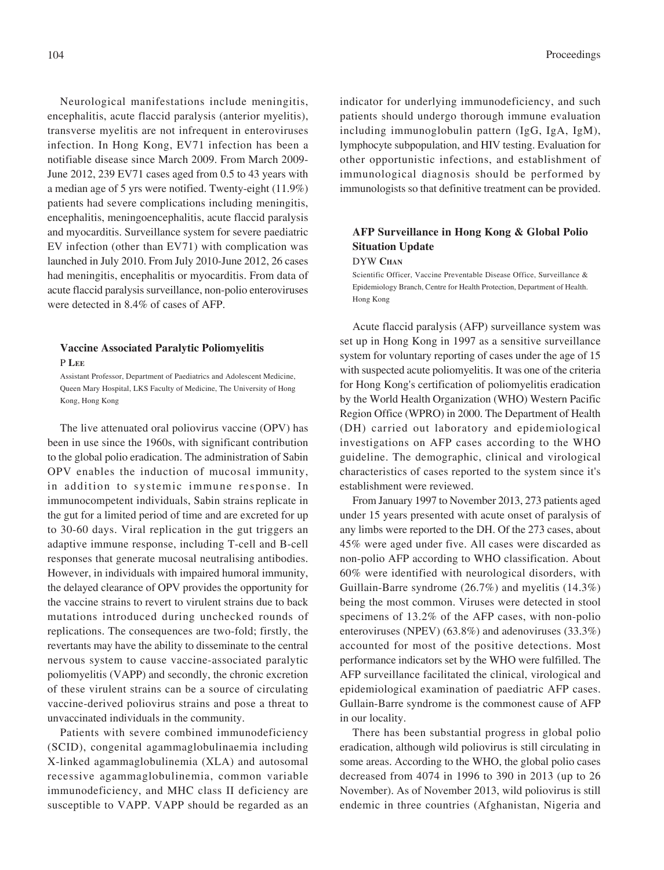Neurological manifestations include meningitis, encephalitis, acute flaccid paralysis (anterior myelitis), transverse myelitis are not infrequent in enteroviruses infection. In Hong Kong, EV71 infection has been a notifiable disease since March 2009. From March 2009- June 2012, 239 EV71 cases aged from 0.5 to 43 years with a median age of 5 yrs were notified. Twenty-eight (11.9%) patients had severe complications including meningitis, encephalitis, meningoencephalitis, acute flaccid paralysis and myocarditis. Surveillance system for severe paediatric EV infection (other than EV71) with complication was launched in July 2010. From July 2010-June 2012, 26 cases had meningitis, encephalitis or myocarditis. From data of acute flaccid paralysis surveillance, non-polio enteroviruses were detected in 8.4% of cases of AFP.

# **Vaccine Associated Paralytic Poliomyelitis**

P **LEE**

Assistant Professor, Department of Paediatrics and Adolescent Medicine, Queen Mary Hospital, LKS Faculty of Medicine, The University of Hong Kong, Hong Kong

The live attenuated oral poliovirus vaccine (OPV) has been in use since the 1960s, with significant contribution to the global polio eradication. The administration of Sabin OPV enables the induction of mucosal immunity, in addition to systemic immune response. In immunocompetent individuals, Sabin strains replicate in the gut for a limited period of time and are excreted for up to 30-60 days. Viral replication in the gut triggers an adaptive immune response, including T-cell and B-cell responses that generate mucosal neutralising antibodies. However, in individuals with impaired humoral immunity, the delayed clearance of OPV provides the opportunity for the vaccine strains to revert to virulent strains due to back mutations introduced during unchecked rounds of replications. The consequences are two-fold; firstly, the revertants may have the ability to disseminate to the central nervous system to cause vaccine-associated paralytic poliomyelitis (VAPP) and secondly, the chronic excretion of these virulent strains can be a source of circulating vaccine-derived poliovirus strains and pose a threat to unvaccinated individuals in the community.

Patients with severe combined immunodeficiency (SCID), congenital agammaglobulinaemia including X-linked agammaglobulinemia (XLA) and autosomal recessive agammaglobulinemia, common variable immunodeficiency, and MHC class II deficiency are susceptible to VAPP. VAPP should be regarded as an

indicator for underlying immunodeficiency, and such patients should undergo thorough immune evaluation including immunoglobulin pattern (IgG, IgA, IgM), lymphocyte subpopulation, and HIV testing. Evaluation for other opportunistic infections, and establishment of immunological diagnosis should be performed by immunologists so that definitive treatment can be provided.

# **AFP Surveillance in Hong Kong & Global Polio Situation Update**

DYW **CHAN**

Scientific Officer, Vaccine Preventable Disease Office, Surveillance & Epidemiology Branch, Centre for Health Protection, Department of Health. Hong Kong

Acute flaccid paralysis (AFP) surveillance system was set up in Hong Kong in 1997 as a sensitive surveillance system for voluntary reporting of cases under the age of 15 with suspected acute poliomyelitis. It was one of the criteria for Hong Kong's certification of poliomyelitis eradication by the World Health Organization (WHO) Western Pacific Region Office (WPRO) in 2000. The Department of Health (DH) carried out laboratory and epidemiological investigations on AFP cases according to the WHO guideline. The demographic, clinical and virological characteristics of cases reported to the system since it's establishment were reviewed.

From January 1997 to November 2013, 273 patients aged under 15 years presented with acute onset of paralysis of any limbs were reported to the DH. Of the 273 cases, about 45% were aged under five. All cases were discarded as non-polio AFP according to WHO classification. About 60% were identified with neurological disorders, with Guillain-Barre syndrome (26.7%) and myelitis (14.3%) being the most common. Viruses were detected in stool specimens of 13.2% of the AFP cases, with non-polio enteroviruses (NPEV) (63.8%) and adenoviruses (33.3%) accounted for most of the positive detections. Most performance indicators set by the WHO were fulfilled. The AFP surveillance facilitated the clinical, virological and epidemiological examination of paediatric AFP cases. Gullain-Barre syndrome is the commonest cause of AFP in our locality.

There has been substantial progress in global polio eradication, although wild poliovirus is still circulating in some areas. According to the WHO, the global polio cases decreased from 4074 in 1996 to 390 in 2013 (up to 26 November). As of November 2013, wild poliovirus is still endemic in three countries (Afghanistan, Nigeria and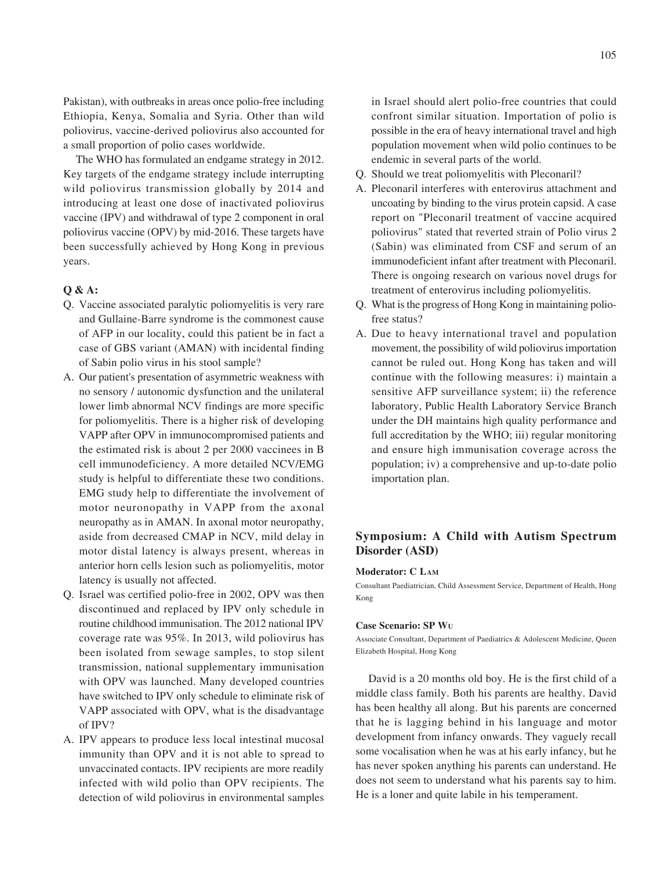Pakistan), with outbreaks in areas once polio-free including Ethiopia, Kenya, Somalia and Syria. Other than wild poliovirus, vaccine-derived poliovirus also accounted for a small proportion of polio cases worldwide.

The WHO has formulated an endgame strategy in 2012. Key targets of the endgame strategy include interrupting wild poliovirus transmission globally by 2014 and introducing at least one dose of inactivated poliovirus vaccine (IPV) and withdrawal of type 2 component in oral poliovirus vaccine (OPV) by mid-2016. These targets have been successfully achieved by Hong Kong in previous years.

### **Q & A:**

- Q. Vaccine associated paralytic poliomyelitis is very rare and Gullaine-Barre syndrome is the commonest cause of AFP in our locality, could this patient be in fact a case of GBS variant (AMAN) with incidental finding of Sabin polio virus in his stool sample?
- A. Our patient's presentation of asymmetric weakness with no sensory / autonomic dysfunction and the unilateral lower limb abnormal NCV findings are more specific for poliomyelitis. There is a higher risk of developing VAPP after OPV in immunocompromised patients and the estimated risk is about 2 per 2000 vaccinees in B cell immunodeficiency. A more detailed NCV/EMG study is helpful to differentiate these two conditions. EMG study help to differentiate the involvement of motor neuronopathy in VAPP from the axonal neuropathy as in AMAN. In axonal motor neuropathy, aside from decreased CMAP in NCV, mild delay in motor distal latency is always present, whereas in anterior horn cells lesion such as poliomyelitis, motor latency is usually not affected.
- Q. Israel was certified polio-free in 2002, OPV was then discontinued and replaced by IPV only schedule in routine childhood immunisation. The 2012 national IPV coverage rate was 95%. In 2013, wild poliovirus has been isolated from sewage samples, to stop silent transmission, national supplementary immunisation with OPV was launched. Many developed countries have switched to IPV only schedule to eliminate risk of VAPP associated with OPV, what is the disadvantage of IPV?
- A. IPV appears to produce less local intestinal mucosal immunity than OPV and it is not able to spread to unvaccinated contacts. IPV recipients are more readily infected with wild polio than OPV recipients. The detection of wild poliovirus in environmental samples

in Israel should alert polio-free countries that could confront similar situation. Importation of polio is possible in the era of heavy international travel and high population movement when wild polio continues to be endemic in several parts of the world.

- Q. Should we treat poliomyelitis with Pleconaril?
- A. Pleconaril interferes with enterovirus attachment and uncoating by binding to the virus protein capsid. A case report on "Pleconaril treatment of vaccine acquired poliovirus" stated that reverted strain of Polio virus 2 (Sabin) was eliminated from CSF and serum of an immunodeficient infant after treatment with Pleconaril. There is ongoing research on various novel drugs for treatment of enterovirus including poliomyelitis.
- Q. What is the progress of Hong Kong in maintaining poliofree status?
- A. Due to heavy international travel and population movement, the possibility of wild poliovirus importation cannot be ruled out. Hong Kong has taken and will continue with the following measures: i) maintain a sensitive AFP surveillance system; ii) the reference laboratory, Public Health Laboratory Service Branch under the DH maintains high quality performance and full accreditation by the WHO; iii) regular monitoring and ensure high immunisation coverage across the population; iv) a comprehensive and up-to-date polio importation plan.

# **Symposium: A Child with Autism Spectrum Disorder (ASD)**

#### **Moderator: C LAM**

Consultant Paediatrician, Child Assessment Service, Department of Health, Hong Kong

#### **Case Scenario: SP WU**

Associate Consultant, Department of Paediatrics & Adolescent Medicine, Queen Elizabeth Hospital, Hong Kong

David is a 20 months old boy. He is the first child of a middle class family. Both his parents are healthy. David has been healthy all along. But his parents are concerned that he is lagging behind in his language and motor development from infancy onwards. They vaguely recall some vocalisation when he was at his early infancy, but he has never spoken anything his parents can understand. He does not seem to understand what his parents say to him. He is a loner and quite labile in his temperament.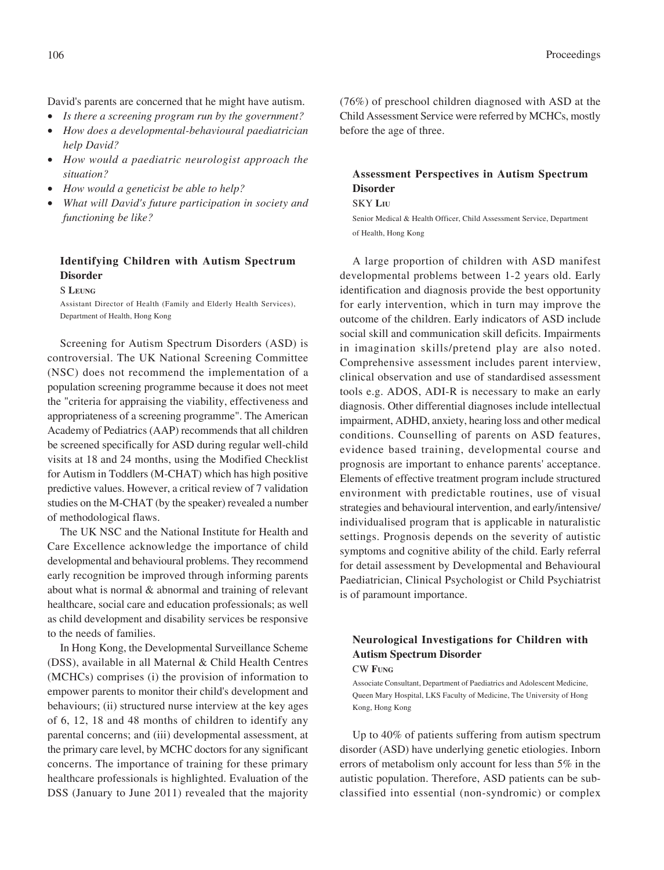David's parents are concerned that he might have autism.

- *Is there a screening program run by the government?*
- *How does a developmental-behavioural paediatrician help David?*
- *How would a paediatric neurologist approach the situation?*
- *How would a geneticist be able to help?*
- *What will David's future participation in society and functioning be like?*

# **Identifying Children with Autism Spectrum Disorder**

S **LEUNG**

Assistant Director of Health (Family and Elderly Health Services), Department of Health, Hong Kong

Screening for Autism Spectrum Disorders (ASD) is controversial. The UK National Screening Committee (NSC) does not recommend the implementation of a population screening programme because it does not meet the "criteria for appraising the viability, effectiveness and appropriateness of a screening programme". The American Academy of Pediatrics (AAP) recommends that all children be screened specifically for ASD during regular well-child visits at 18 and 24 months, using the Modified Checklist for Autism in Toddlers (M-CHAT) which has high positive predictive values. However, a critical review of 7 validation studies on the M-CHAT (by the speaker) revealed a number of methodological flaws.

The UK NSC and the National Institute for Health and Care Excellence acknowledge the importance of child developmental and behavioural problems. They recommend early recognition be improved through informing parents about what is normal & abnormal and training of relevant healthcare, social care and education professionals; as well as child development and disability services be responsive to the needs of families.

In Hong Kong, the Developmental Surveillance Scheme (DSS), available in all Maternal & Child Health Centres (MCHCs) comprises (i) the provision of information to empower parents to monitor their child's development and behaviours; (ii) structured nurse interview at the key ages of 6, 12, 18 and 48 months of children to identify any parental concerns; and (iii) developmental assessment, at the primary care level, by MCHC doctors for any significant concerns. The importance of training for these primary healthcare professionals is highlighted. Evaluation of the DSS (January to June 2011) revealed that the majority

(76%) of preschool children diagnosed with ASD at the Child Assessment Service were referred by MCHCs, mostly before the age of three.

# **Assessment Perspectives in Autism Spectrum Disorder**

#### SKY **LIU**

Senior Medical & Health Officer, Child Assessment Service, Department of Health, Hong Kong

A large proportion of children with ASD manifest developmental problems between 1-2 years old. Early identification and diagnosis provide the best opportunity for early intervention, which in turn may improve the outcome of the children. Early indicators of ASD include social skill and communication skill deficits. Impairments in imagination skills/pretend play are also noted. Comprehensive assessment includes parent interview, clinical observation and use of standardised assessment tools e.g. ADOS, ADI-R is necessary to make an early diagnosis. Other differential diagnoses include intellectual impairment, ADHD, anxiety, hearing loss and other medical conditions. Counselling of parents on ASD features, evidence based training, developmental course and prognosis are important to enhance parents' acceptance. Elements of effective treatment program include structured environment with predictable routines, use of visual strategies and behavioural intervention, and early/intensive/ individualised program that is applicable in naturalistic settings. Prognosis depends on the severity of autistic symptoms and cognitive ability of the child. Early referral for detail assessment by Developmental and Behavioural Paediatrician, Clinical Psychologist or Child Psychiatrist is of paramount importance.

# **Neurological Investigations for Children with Autism Spectrum Disorder**

CW **FUNG**

Associate Consultant, Department of Paediatrics and Adolescent Medicine, Queen Mary Hospital, LKS Faculty of Medicine, The University of Hong Kong, Hong Kong

Up to 40% of patients suffering from autism spectrum disorder (ASD) have underlying genetic etiologies. Inborn errors of metabolism only account for less than 5% in the autistic population. Therefore, ASD patients can be subclassified into essential (non-syndromic) or complex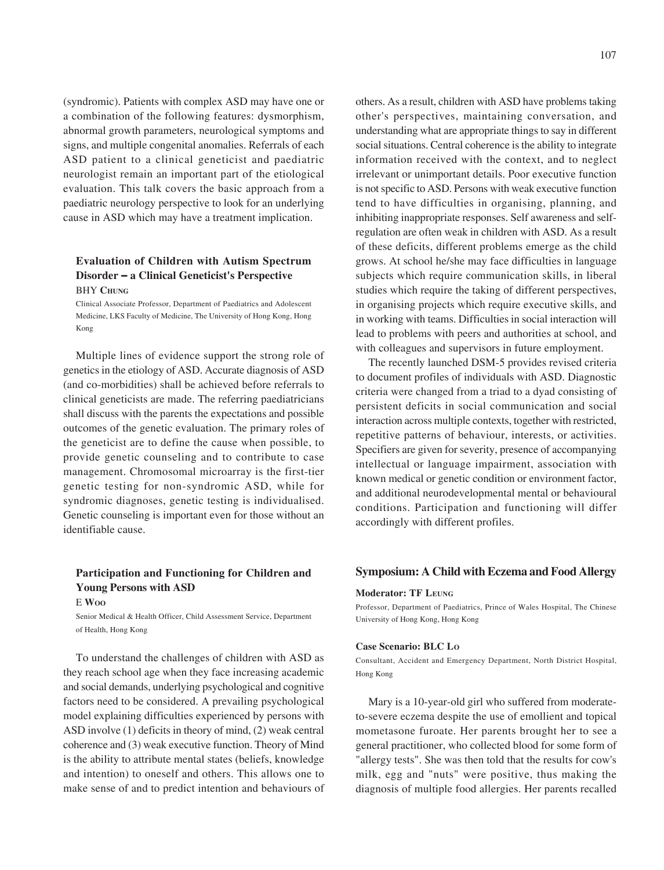(syndromic). Patients with complex ASD may have one or a combination of the following features: dysmorphism, abnormal growth parameters, neurological symptoms and signs, and multiple congenital anomalies. Referrals of each ASD patient to a clinical geneticist and paediatric neurologist remain an important part of the etiological evaluation. This talk covers the basic approach from a paediatric neurology perspective to look for an underlying cause in ASD which may have a treatment implication.

### **Evaluation of Children with Autism Spectrum Disorder** − **a Clinical Geneticist's Perspective BHY CHUNG**

Clinical Associate Professor, Department of Paediatrics and Adolescent Medicine, LKS Faculty of Medicine, The University of Hong Kong, Hong Kong

Multiple lines of evidence support the strong role of genetics in the etiology of ASD. Accurate diagnosis of ASD (and co-morbidities) shall be achieved before referrals to clinical geneticists are made. The referring paediatricians shall discuss with the parents the expectations and possible outcomes of the genetic evaluation. The primary roles of the geneticist are to define the cause when possible, to provide genetic counseling and to contribute to case management. Chromosomal microarray is the first-tier genetic testing for non-syndromic ASD, while for syndromic diagnoses, genetic testing is individualised. Genetic counseling is important even for those without an identifiable cause.

# **Participation and Functioning for Children and Young Persons with ASD**

E **WOO**

Senior Medical & Health Officer, Child Assessment Service, Department of Health, Hong Kong

To understand the challenges of children with ASD as they reach school age when they face increasing academic and social demands, underlying psychological and cognitive factors need to be considered. A prevailing psychological model explaining difficulties experienced by persons with ASD involve (1) deficits in theory of mind, (2) weak central coherence and (3) weak executive function. Theory of Mind is the ability to attribute mental states (beliefs, knowledge and intention) to oneself and others. This allows one to make sense of and to predict intention and behaviours of

others. As a result, children with ASD have problems taking other's perspectives, maintaining conversation, and understanding what are appropriate things to say in different social situations. Central coherence is the ability to integrate information received with the context, and to neglect irrelevant or unimportant details. Poor executive function is not specific to ASD. Persons with weak executive function tend to have difficulties in organising, planning, and inhibiting inappropriate responses. Self awareness and selfregulation are often weak in children with ASD. As a result of these deficits, different problems emerge as the child grows. At school he/she may face difficulties in language subjects which require communication skills, in liberal studies which require the taking of different perspectives, in organising projects which require executive skills, and in working with teams. Difficulties in social interaction will lead to problems with peers and authorities at school, and with colleagues and supervisors in future employment.

The recently launched DSM-5 provides revised criteria to document profiles of individuals with ASD. Diagnostic criteria were changed from a triad to a dyad consisting of persistent deficits in social communication and social interaction across multiple contexts, together with restricted, repetitive patterns of behaviour, interests, or activities. Specifiers are given for severity, presence of accompanying intellectual or language impairment, association with known medical or genetic condition or environment factor, and additional neurodevelopmental mental or behavioural conditions. Participation and functioning will differ accordingly with different profiles.

### **Symposium: A Child with Eczema and Food Allergy**

#### **Moderator: TF LEUNG**

Professor, Department of Paediatrics, Prince of Wales Hospital, The Chinese University of Hong Kong, Hong Kong

#### **Case Scenario: BLC LO**

Consultant, Accident and Emergency Department, North District Hospital, Hong Kong

Mary is a 10-year-old girl who suffered from moderateto-severe eczema despite the use of emollient and topical mometasone furoate. Her parents brought her to see a general practitioner, who collected blood for some form of "allergy tests". She was then told that the results for cow's milk, egg and "nuts" were positive, thus making the diagnosis of multiple food allergies. Her parents recalled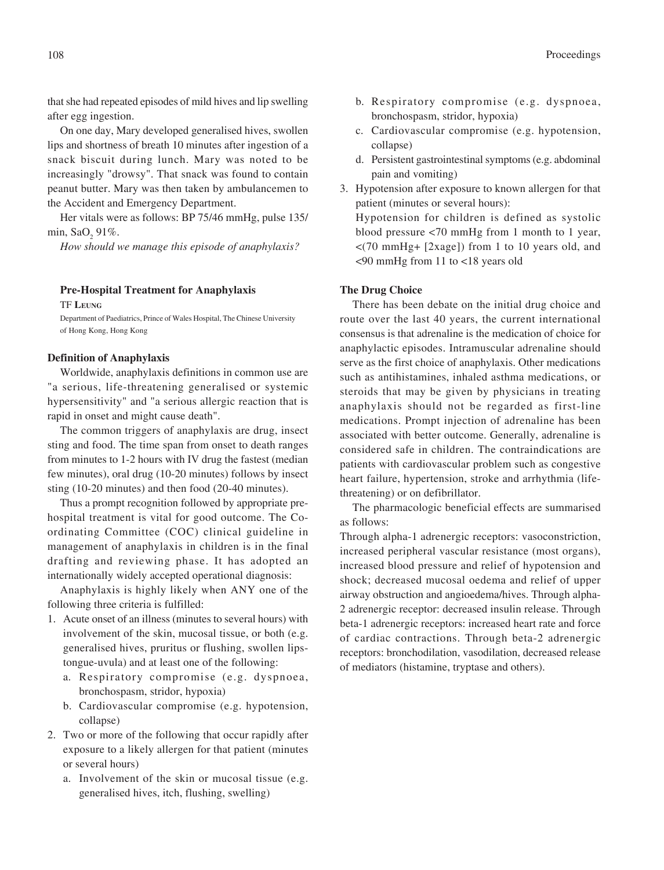that she had repeated episodes of mild hives and lip swelling after egg ingestion.

On one day, Mary developed generalised hives, swollen lips and shortness of breath 10 minutes after ingestion of a snack biscuit during lunch. Mary was noted to be increasingly "drowsy". That snack was found to contain peanut butter. Mary was then taken by ambulancemen to the Accident and Emergency Department.

Her vitals were as follows: BP 75/46 mmHg, pulse 135/ min, SaO<sub>2</sub> 91%.

*How should we manage this episode of anaphylaxis?*

**Pre-Hospital Treatment for Anaphylaxis**

TF **LEUNG**

Department of Paediatrics, Prince of Wales Hospital, The Chinese University of Hong Kong, Hong Kong

### **Definition of Anaphylaxis**

Worldwide, anaphylaxis definitions in common use are "a serious, life-threatening generalised or systemic hypersensitivity" and "a serious allergic reaction that is rapid in onset and might cause death".

The common triggers of anaphylaxis are drug, insect sting and food. The time span from onset to death ranges from minutes to 1-2 hours with IV drug the fastest (median few minutes), oral drug (10-20 minutes) follows by insect sting (10-20 minutes) and then food (20-40 minutes).

Thus a prompt recognition followed by appropriate prehospital treatment is vital for good outcome. The Coordinating Committee (COC) clinical guideline in management of anaphylaxis in children is in the final drafting and reviewing phase. It has adopted an internationally widely accepted operational diagnosis:

Anaphylaxis is highly likely when ANY one of the following three criteria is fulfilled:

- 1. Acute onset of an illness (minutes to several hours) with involvement of the skin, mucosal tissue, or both (e.g. generalised hives, pruritus or flushing, swollen lipstongue-uvula) and at least one of the following:
	- a. Respiratory compromise (e.g. dyspnoea, bronchospasm, stridor, hypoxia)
	- b. Cardiovascular compromise (e.g. hypotension, collapse)
- 2. Two or more of the following that occur rapidly after exposure to a likely allergen for that patient (minutes or several hours)
	- a. Involvement of the skin or mucosal tissue (e.g. generalised hives, itch, flushing, swelling)
- b. Respiratory compromise (e.g. dyspnoea, bronchospasm, stridor, hypoxia)
- c. Cardiovascular compromise (e.g. hypotension, collapse)
- d. Persistent gastrointestinal symptoms (e.g. abdominal pain and vomiting)
- 3. Hypotension after exposure to known allergen for that patient (minutes or several hours):

Hypotension for children is defined as systolic blood pressure <70 mmHg from 1 month to 1 year, <(70 mmHg+ [2xage]) from 1 to 10 years old, and <90 mmHg from 11 to <18 years old

### **The Drug Choice**

There has been debate on the initial drug choice and route over the last 40 years, the current international consensus is that adrenaline is the medication of choice for anaphylactic episodes. Intramuscular adrenaline should serve as the first choice of anaphylaxis. Other medications such as antihistamines, inhaled asthma medications, or steroids that may be given by physicians in treating anaphylaxis should not be regarded as first-line medications. Prompt injection of adrenaline has been associated with better outcome. Generally, adrenaline is considered safe in children. The contraindications are patients with cardiovascular problem such as congestive heart failure, hypertension, stroke and arrhythmia (lifethreatening) or on defibrillator.

The pharmacologic beneficial effects are summarised as follows:

Through alpha-1 adrenergic receptors: vasoconstriction, increased peripheral vascular resistance (most organs), increased blood pressure and relief of hypotension and shock; decreased mucosal oedema and relief of upper airway obstruction and angioedema/hives. Through alpha-2 adrenergic receptor: decreased insulin release. Through beta-1 adrenergic receptors: increased heart rate and force of cardiac contractions. Through beta-2 adrenergic receptors: bronchodilation, vasodilation, decreased release of mediators (histamine, tryptase and others).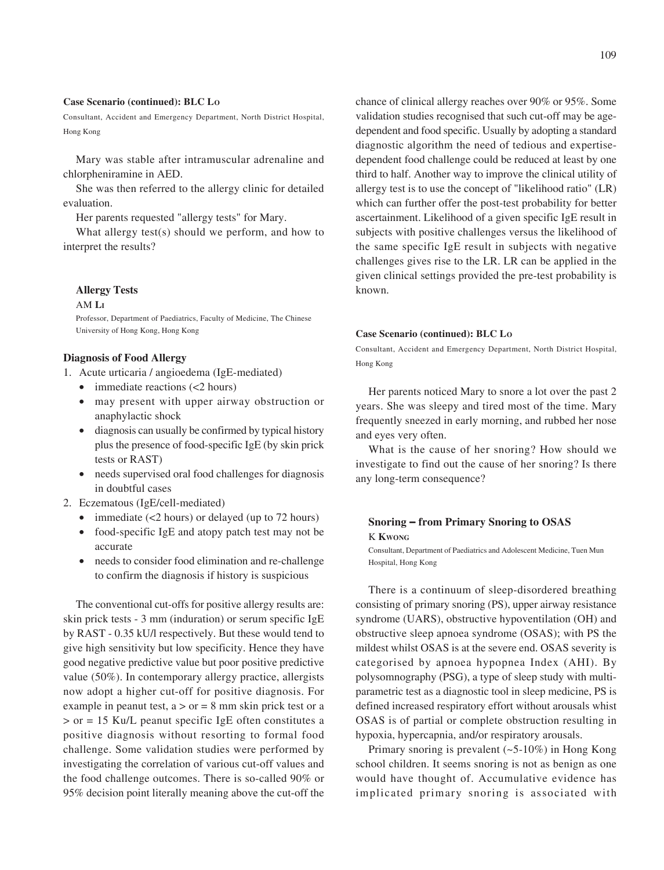#### **Case Scenario (continued): BLC LO**

Consultant, Accident and Emergency Department, North District Hospital, Hong Kong

Mary was stable after intramuscular adrenaline and chlorpheniramine in AED.

She was then referred to the allergy clinic for detailed evaluation.

Her parents requested "allergy tests" for Mary.

What allergy test(s) should we perform, and how to interpret the results?

#### **Allergy Tests**

#### AM **LI**

Professor, Department of Paediatrics, Faculty of Medicine, The Chinese University of Hong Kong, Hong Kong

### **Diagnosis of Food Allergy**

- 1. Acute urticaria / angioedema (IgE-mediated)
	- immediate reactions  $\left($  <2 hours)
	- may present with upper airway obstruction or anaphylactic shock
	- diagnosis can usually be confirmed by typical history plus the presence of food-specific IgE (by skin prick tests or RAST)
	- needs supervised oral food challenges for diagnosis in doubtful cases
- 2. Eczematous (IgE/cell-mediated)
	- immediate  $(<2$  hours) or delayed (up to 72 hours)
	- food-specific IgE and atopy patch test may not be accurate
	- needs to consider food elimination and re-challenge to confirm the diagnosis if history is suspicious

The conventional cut-offs for positive allergy results are: skin prick tests - 3 mm (induration) or serum specific IgE by RAST - 0.35 kU/l respectively. But these would tend to give high sensitivity but low specificity. Hence they have good negative predictive value but poor positive predictive value (50%). In contemporary allergy practice, allergists now adopt a higher cut-off for positive diagnosis. For example in peanut test,  $a > or = 8$  mm skin prick test or a > or = 15 Ku/L peanut specific IgE often constitutes a positive diagnosis without resorting to formal food challenge. Some validation studies were performed by investigating the correlation of various cut-off values and the food challenge outcomes. There is so-called 90% or 95% decision point literally meaning above the cut-off the

chance of clinical allergy reaches over 90% or 95%. Some validation studies recognised that such cut-off may be agedependent and food specific. Usually by adopting a standard diagnostic algorithm the need of tedious and expertisedependent food challenge could be reduced at least by one third to half. Another way to improve the clinical utility of allergy test is to use the concept of "likelihood ratio" (LR) which can further offer the post-test probability for better ascertainment. Likelihood of a given specific IgE result in subjects with positive challenges versus the likelihood of the same specific IgE result in subjects with negative challenges gives rise to the LR. LR can be applied in the given clinical settings provided the pre-test probability is known.

#### **Case Scenario (continued): BLC LO**

Consultant, Accident and Emergency Department, North District Hospital, Hong Kong

Her parents noticed Mary to snore a lot over the past 2 years. She was sleepy and tired most of the time. Mary frequently sneezed in early morning, and rubbed her nose and eyes very often.

What is the cause of her snoring? How should we investigate to find out the cause of her snoring? Is there any long-term consequence?

# **Snoring** − **from Primary Snoring to OSAS** K **KWONG**

Consultant, Department of Paediatrics and Adolescent Medicine, Tuen Mun Hospital, Hong Kong

There is a continuum of sleep-disordered breathing consisting of primary snoring (PS), upper airway resistance syndrome (UARS), obstructive hypoventilation (OH) and obstructive sleep apnoea syndrome (OSAS); with PS the mildest whilst OSAS is at the severe end. OSAS severity is categorised by apnoea hypopnea Index (AHI). By polysomnography (PSG), a type of sleep study with multiparametric test as a diagnostic tool in sleep medicine, PS is defined increased respiratory effort without arousals whist OSAS is of partial or complete obstruction resulting in hypoxia, hypercapnia, and/or respiratory arousals.

Primary snoring is prevalent (~5-10%) in Hong Kong school children. It seems snoring is not as benign as one would have thought of. Accumulative evidence has implicated primary snoring is associated with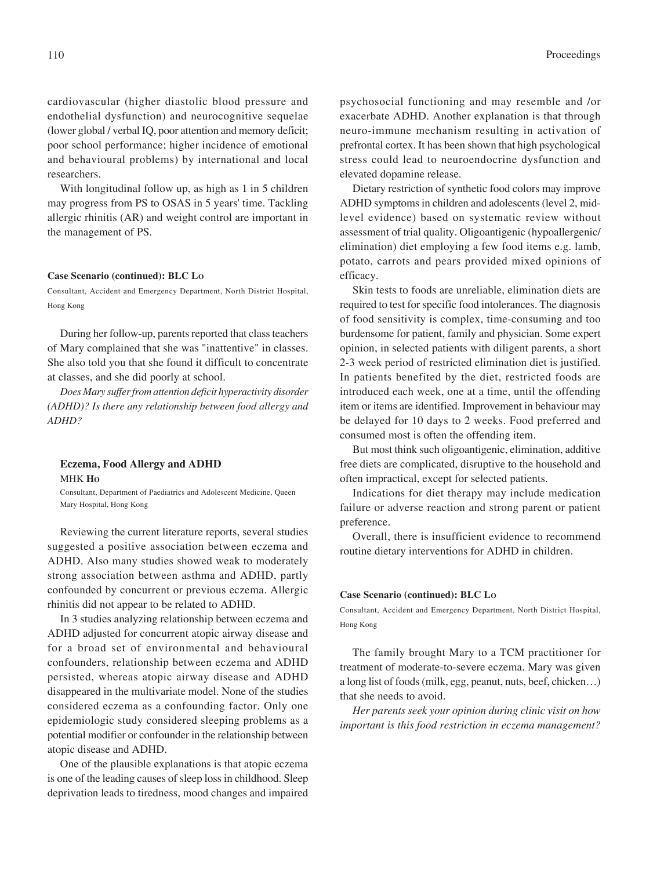cardiovascular (higher diastolic blood pressure and endothelial dysfunction) and neurocognitive sequelae (lower global / verbal IQ, poor attention and memory deficit; poor school performance; higher incidence of emotional and behavioural problems) by international and local researchers.

With longitudinal follow up, as high as 1 in 5 children may progress from PS to OSAS in 5 years' time. Tackling allergic rhinitis (AR) and weight control are important in the management of PS.

#### **Case Scenario (continued): BLC LO**

Consultant, Accident and Emergency Department, North District Hospital, Hong Kong

During her follow-up, parents reported that class teachers of Mary complained that she was "inattentive" in classes. She also told you that she found it difficult to concentrate at classes, and she did poorly at school.

*Does Mary suffer from attention deficit hyperactivity disorder (ADHD)? Is there any relationship between food allergy and ADHD?*

### **Eczema, Food Allergy and ADHD** MHK **HO**

Consultant, Department of Paediatrics and Adolescent Medicine, Queen Mary Hospital, Hong Kong

Reviewing the current literature reports, several studies suggested a positive association between eczema and ADHD. Also many studies showed weak to moderately strong association between asthma and ADHD, partly confounded by concurrent or previous eczema. Allergic rhinitis did not appear to be related to ADHD.

In 3 studies analyzing relationship between eczema and ADHD adjusted for concurrent atopic airway disease and for a broad set of environmental and behavioural confounders, relationship between eczema and ADHD persisted, whereas atopic airway disease and ADHD disappeared in the multivariate model. None of the studies considered eczema as a confounding factor. Only one epidemiologic study considered sleeping problems as a potential modifier or confounder in the relationship between atopic disease and ADHD.

One of the plausible explanations is that atopic eczema is one of the leading causes of sleep loss in childhood. Sleep deprivation leads to tiredness, mood changes and impaired

psychosocial functioning and may resemble and /or exacerbate ADHD. Another explanation is that through neuro-immune mechanism resulting in activation of prefrontal cortex. It has been shown that high psychological stress could lead to neuroendocrine dysfunction and elevated dopamine release.

Dietary restriction of synthetic food colors may improve ADHD symptoms in children and adolescents (level 2, midlevel evidence) based on systematic review without assessment of trial quality. Oligoantigenic (hypoallergenic/ elimination) diet employing a few food items e.g. lamb, potato, carrots and pears provided mixed opinions of efficacy.

Skin tests to foods are unreliable, elimination diets are required to test for specific food intolerances. The diagnosis of food sensitivity is complex, time-consuming and too burdensome for patient, family and physician. Some expert opinion, in selected patients with diligent parents, a short 2-3 week period of restricted elimination diet is justified. In patients benefited by the diet, restricted foods are introduced each week, one at a time, until the offending item or items are identified. Improvement in behaviour may be delayed for 10 days to 2 weeks. Food preferred and consumed most is often the offending item.

But most think such oligoantigenic, elimination, additive free diets are complicated, disruptive to the household and often impractical, except for selected patients.

Indications for diet therapy may include medication failure or adverse reaction and strong parent or patient preference.

Overall, there is insufficient evidence to recommend routine dietary interventions for ADHD in children.

#### **Case Scenario (continued): BLC LO**

Consultant, Accident and Emergency Department, North District Hospital, Hong Kong

The family brought Mary to a TCM practitioner for treatment of moderate-to-severe eczema. Mary was given a long list of foods (milk, egg, peanut, nuts, beef, chicken…) that she needs to avoid.

*Her parents seek your opinion during clinic visit on how important is this food restriction in eczema management?*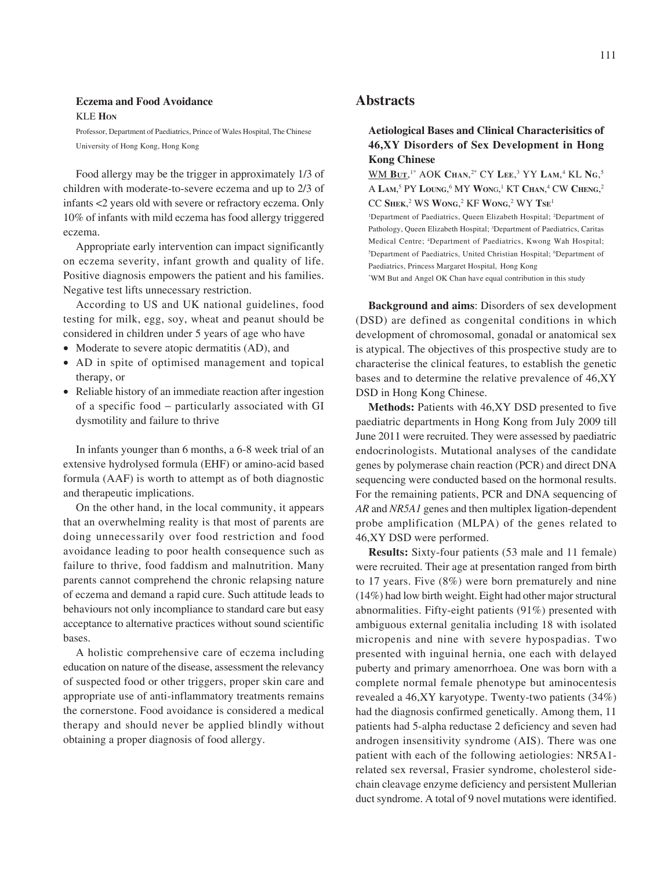# **Eczema and Food Avoidance**

KLE **HON**

Professor, Department of Paediatrics, Prince of Wales Hospital, The Chinese University of Hong Kong, Hong Kong

Food allergy may be the trigger in approximately 1/3 of children with moderate-to-severe eczema and up to 2/3 of infants <2 years old with severe or refractory eczema. Only 10% of infants with mild eczema has food allergy triggered eczema.

Appropriate early intervention can impact significantly on eczema severity, infant growth and quality of life. Positive diagnosis empowers the patient and his families. Negative test lifts unnecessary restriction.

According to US and UK national guidelines, food testing for milk, egg, soy, wheat and peanut should be considered in children under 5 years of age who have

- Moderate to severe atopic dermatitis (AD), and
- AD in spite of optimised management and topical therapy, or
- Reliable history of an immediate reaction after ingestion of a specific food − particularly associated with GI dysmotility and failure to thrive

In infants younger than 6 months, a 6-8 week trial of an extensive hydrolysed formula (EHF) or amino-acid based formula (AAF) is worth to attempt as of both diagnostic and therapeutic implications.

On the other hand, in the local community, it appears that an overwhelming reality is that most of parents are doing unnecessarily over food restriction and food avoidance leading to poor health consequence such as failure to thrive, food faddism and malnutrition. Many parents cannot comprehend the chronic relapsing nature of eczema and demand a rapid cure. Such attitude leads to behaviours not only incompliance to standard care but easy acceptance to alternative practices without sound scientific bases.

A holistic comprehensive care of eczema including education on nature of the disease, assessment the relevancy of suspected food or other triggers, proper skin care and appropriate use of anti-inflammatory treatments remains the cornerstone. Food avoidance is considered a medical therapy and should never be applied blindly without obtaining a proper diagnosis of food allergy.

# **Abstracts**

# **Aetiological Bases and Clinical Characterisitics of 46,XY Disorders of Sex Development in Hong Kong Chinese**

WM **BUT**, 1\* AOK **CHAN**, 2\* CY **LEE**, 3 YY **LAM**, 4 KL **NG**, 5 A LAM,<sup>5</sup> PY LOUNG,<sup>6</sup> MY WONG,<sup>1</sup> KT CHAN,<sup>4</sup> CW CHENG,<sup>2</sup> CC **SHEK**, 2 WS **WONG**, 2 KF **WONG**, 2 WY **TSE**<sup>1</sup>

<sup>1</sup>Department of Paediatrics, Queen Elizabeth Hospital; <sup>2</sup>Department of Pathology, Queen Elizabeth Hospital; <sup>3</sup>Department of Paediatrics, Caritas Medical Centre; <sup>4</sup>Department of Paediatrics, Kwong Wah Hospital; <sup>5</sup>Department of Paediatrics, United Christian Hospital; <sup>6</sup>Department of Paediatrics, Princess Margaret Hospital, Hong Kong

\* WM But and Angel OK Chan have equal contribution in this study

**Background and aims**: Disorders of sex development (DSD) are defined as congenital conditions in which development of chromosomal, gonadal or anatomical sex is atypical. The objectives of this prospective study are to characterise the clinical features, to establish the genetic bases and to determine the relative prevalence of 46,XY DSD in Hong Kong Chinese.

**Methods:** Patients with 46,XY DSD presented to five paediatric departments in Hong Kong from July 2009 till June 2011 were recruited. They were assessed by paediatric endocrinologists. Mutational analyses of the candidate genes by polymerase chain reaction (PCR) and direct DNA sequencing were conducted based on the hormonal results. For the remaining patients, PCR and DNA sequencing of *AR* and *NR5A1* genes and then multiplex ligation-dependent probe amplification (MLPA) of the genes related to 46,XY DSD were performed.

**Results:** Sixty-four patients (53 male and 11 female) were recruited. Their age at presentation ranged from birth to 17 years. Five (8%) were born prematurely and nine (14%) had low birth weight. Eight had other major structural abnormalities. Fifty-eight patients (91%) presented with ambiguous external genitalia including 18 with isolated micropenis and nine with severe hypospadias. Two presented with inguinal hernia, one each with delayed puberty and primary amenorrhoea. One was born with a complete normal female phenotype but aminocentesis revealed a 46,XY karyotype. Twenty-two patients (34%) had the diagnosis confirmed genetically. Among them, 11 patients had 5-alpha reductase 2 deficiency and seven had androgen insensitivity syndrome (AIS). There was one patient with each of the following aetiologies: NR5A1 related sex reversal, Frasier syndrome, cholesterol sidechain cleavage enzyme deficiency and persistent Mullerian duct syndrome. A total of 9 novel mutations were identified.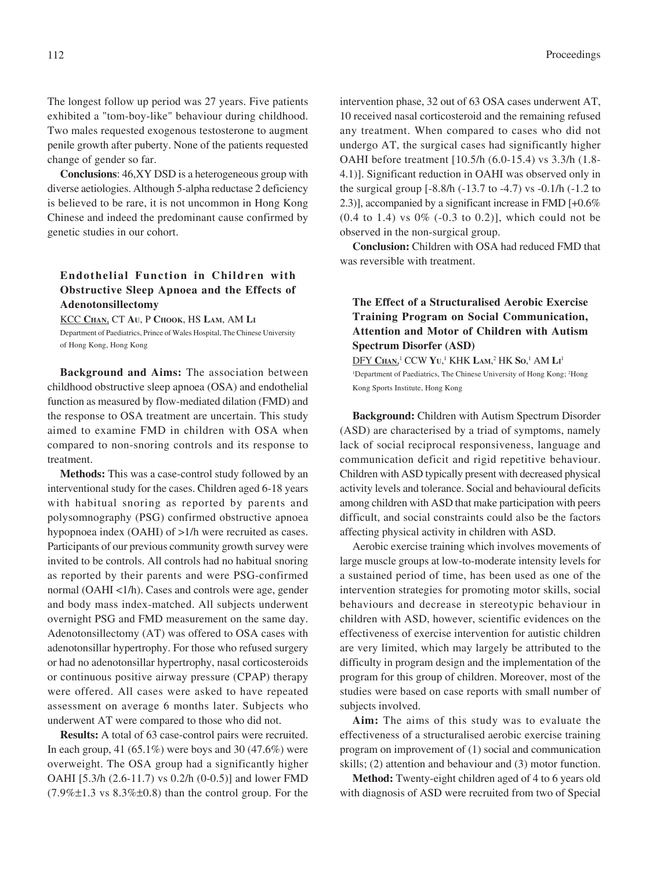The longest follow up period was 27 years. Five patients exhibited a "tom-boy-like" behaviour during childhood. Two males requested exogenous testosterone to augment penile growth after puberty. None of the patients requested change of gender so far.

**Conclusions**: 46,XY DSD is a heterogeneous group with diverse aetiologies. Although 5-alpha reductase 2 deficiency is believed to be rare, it is not uncommon in Hong Kong Chinese and indeed the predominant cause confirmed by genetic studies in our cohort.

# **Endothelial Function in Children with Obstructive Sleep Apnoea and the Effects of Adenotonsillectomy**

KCC **CHAN**, CT **AU**, P **CHOOK**, HS **LAM**, AM **LI** Department of Paediatrics, Prince of Wales Hospital, The Chinese University of Hong Kong, Hong Kong

**Background and Aims:** The association between childhood obstructive sleep apnoea (OSA) and endothelial function as measured by flow-mediated dilation (FMD) and the response to OSA treatment are uncertain. This study aimed to examine FMD in children with OSA when compared to non-snoring controls and its response to treatment.

**Methods:** This was a case-control study followed by an interventional study for the cases. Children aged 6-18 years with habitual snoring as reported by parents and polysomnography (PSG) confirmed obstructive apnoea hypopnoea index (OAHI) of >1/h were recruited as cases. Participants of our previous community growth survey were invited to be controls. All controls had no habitual snoring as reported by their parents and were PSG-confirmed normal (OAHI <1/h). Cases and controls were age, gender and body mass index-matched. All subjects underwent overnight PSG and FMD measurement on the same day. Adenotonsillectomy (AT) was offered to OSA cases with adenotonsillar hypertrophy. For those who refused surgery or had no adenotonsillar hypertrophy, nasal corticosteroids or continuous positive airway pressure (CPAP) therapy were offered. All cases were asked to have repeated assessment on average 6 months later. Subjects who underwent AT were compared to those who did not.

**Results:** A total of 63 case-control pairs were recruited. In each group, 41  $(65.1\%)$  were boys and 30  $(47.6\%)$  were overweight. The OSA group had a significantly higher OAHI [5.3/h (2.6-11.7) vs 0.2/h (0-0.5)] and lower FMD  $(7.9\% \pm 1.3 \text{ vs } 8.3\% \pm 0.8)$  than the control group. For the

intervention phase, 32 out of 63 OSA cases underwent AT, 10 received nasal corticosteroid and the remaining refused any treatment. When compared to cases who did not undergo AT, the surgical cases had significantly higher OAHI before treatment [10.5/h (6.0-15.4) vs 3.3/h (1.8- 4.1)]. Significant reduction in OAHI was observed only in the surgical group [-8.8/h (-13.7 to -4.7) vs -0.1/h (-1.2 to 2.3)], accompanied by a significant increase in FMD [+0.6%  $(0.4 \text{ to } 1.4)$  vs  $0\%$   $(-0.3 \text{ to } 0.2)$ ], which could not be observed in the non-surgical group.

**Conclusion:** Children with OSA had reduced FMD that was reversible with treatment.

# **The Effect of a Structuralised Aerobic Exercise Training Program on Social Communication, Attention and Motor of Children with Autism Spectrum Disorfer (ASD)**

 $\overline{\text{DFY CHan}}$ <sup>1</sup> CCW  $\text{Yu},^1$  KHK  $\text{Lam},^2$  HK  $\text{So},^1$  AM  $\text{Li}^1$ <sup>1</sup>Department of Paediatrics, The Chinese University of Hong Kong; <sup>2</sup>Hong Kong Sports Institute, Hong Kong

**Background:** Children with Autism Spectrum Disorder (ASD) are characterised by a triad of symptoms, namely lack of social reciprocal responsiveness, language and communication deficit and rigid repetitive behaviour. Children with ASD typically present with decreased physical activity levels and tolerance. Social and behavioural deficits among children with ASD that make participation with peers difficult, and social constraints could also be the factors affecting physical activity in children with ASD.

Aerobic exercise training which involves movements of large muscle groups at low-to-moderate intensity levels for a sustained period of time, has been used as one of the intervention strategies for promoting motor skills, social behaviours and decrease in stereotypic behaviour in children with ASD, however, scientific evidences on the effectiveness of exercise intervention for autistic children are very limited, which may largely be attributed to the difficulty in program design and the implementation of the program for this group of children. Moreover, most of the studies were based on case reports with small number of subjects involved.

**Aim:** The aims of this study was to evaluate the effectiveness of a structuralised aerobic exercise training program on improvement of (1) social and communication skills; (2) attention and behaviour and (3) motor function.

**Method:** Twenty-eight children aged of 4 to 6 years old with diagnosis of ASD were recruited from two of Special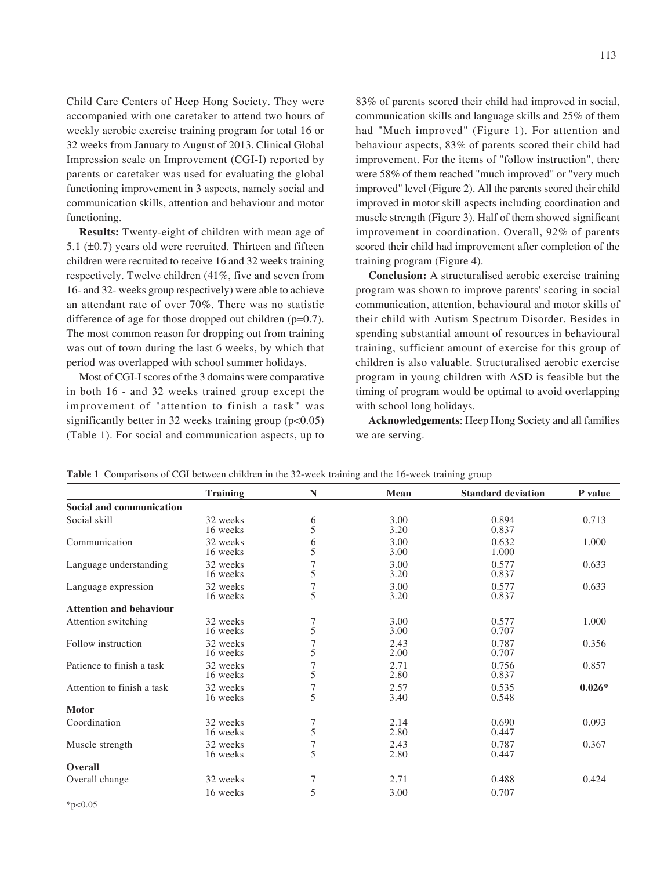Child Care Centers of Heep Hong Society. They were accompanied with one caretaker to attend two hours of weekly aerobic exercise training program for total 16 or 32 weeks from January to August of 2013. Clinical Global Impression scale on Improvement (CGI-I) reported by parents or caretaker was used for evaluating the global functioning improvement in 3 aspects, namely social and communication skills, attention and behaviour and motor functioning.

**Results:** Twenty-eight of children with mean age of 5.1  $(\pm 0.7)$  years old were recruited. Thirteen and fifteen children were recruited to receive 16 and 32 weeks training respectively. Twelve children (41%, five and seven from 16- and 32- weeks group respectively) were able to achieve an attendant rate of over 70%. There was no statistic difference of age for those dropped out children (p=0.7). The most common reason for dropping out from training was out of town during the last 6 weeks, by which that period was overlapped with school summer holidays.

Most of CGI-I scores of the 3 domains were comparative in both 16 - and 32 weeks trained group except the improvement of "attention to finish a task" was significantly better in 32 weeks training group  $(p<0.05)$ (Table 1). For social and communication aspects, up to 83% of parents scored their child had improved in social, communication skills and language skills and 25% of them had "Much improved" (Figure 1). For attention and behaviour aspects, 83% of parents scored their child had improvement. For the items of "follow instruction", there were 58% of them reached "much improved" or "very much improved" level (Figure 2). All the parents scored their child improved in motor skill aspects including coordination and muscle strength (Figure 3). Half of them showed significant improvement in coordination. Overall, 92% of parents scored their child had improvement after completion of the training program (Figure 4).

**Conclusion:** A structuralised aerobic exercise training program was shown to improve parents' scoring in social communication, attention, behavioural and motor skills of their child with Autism Spectrum Disorder. Besides in spending substantial amount of resources in behavioural training, sufficient amount of exercise for this group of children is also valuable. Structuralised aerobic exercise program in young children with ASD is feasible but the timing of program would be optimal to avoid overlapping with school long holidays.

**Acknowledgements**: Heep Hong Society and all families we are serving.

|  | Table 1 Comparisons of CGI between children in the 32-week training and the 16-week training group |
|--|----------------------------------------------------------------------------------------------------|
|--|----------------------------------------------------------------------------------------------------|

|                                 | <b>Training</b>      | N                                     | Mean         | <b>Standard deviation</b> | P value  |
|---------------------------------|----------------------|---------------------------------------|--------------|---------------------------|----------|
| <b>Social and communication</b> |                      |                                       |              |                           |          |
| Social skill                    | 32 weeks<br>16 weeks | $\frac{6}{5}$                         | 3.00<br>3.20 | 0.894<br>0.837            | 0.713    |
| Communication                   | 32 weeks<br>16 weeks | $\begin{array}{c} 6 \\ 5 \end{array}$ | 3.00<br>3.00 | 0.632<br>1.000            | 1.000    |
| Language understanding          | 32 weeks<br>16 weeks | $\boldsymbol{7}$<br>$\dot{5}$         | 3.00<br>3.20 | 0.577<br>0.837            | 0.633    |
| Language expression             | 32 weeks<br>16 weeks | $\frac{7}{5}$                         | 3.00<br>3.20 | 0.577<br>0.837            | 0.633    |
| <b>Attention and behaviour</b>  |                      |                                       |              |                           |          |
| Attention switching             | 32 weeks<br>16 weeks | $\frac{7}{5}$                         | 3.00<br>3.00 | 0.577<br>0.707            | 1.000    |
| Follow instruction              | 32 weeks<br>16 weeks | 7<br>5                                | 2.43<br>2.00 | 0.787<br>0.707            | 0.356    |
| Patience to finish a task       | 32 weeks<br>16 weeks | 7<br>5                                | 2.71<br>2.80 | 0.756<br>0.837            | 0.857    |
| Attention to finish a task      | 32 weeks<br>16 weeks | $\frac{7}{5}$                         | 2.57<br>3.40 | 0.535<br>0.548            | $0.026*$ |
| <b>Motor</b>                    |                      |                                       |              |                           |          |
| Coordination                    | 32 weeks<br>16 weeks | 7<br>$\overline{5}$                   | 2.14<br>2.80 | 0.690<br>0.447            | 0.093    |
| Muscle strength                 | 32 weeks<br>16 weeks | $\frac{7}{5}$                         | 2.43<br>2.80 | 0.787<br>0.447            | 0.367    |
| <b>Overall</b>                  |                      |                                       |              |                           |          |
| Overall change                  | 32 weeks             | 7                                     | 2.71         | 0.488                     | 0.424    |
|                                 | 16 weeks             | 5                                     | 3.00         | 0.707                     |          |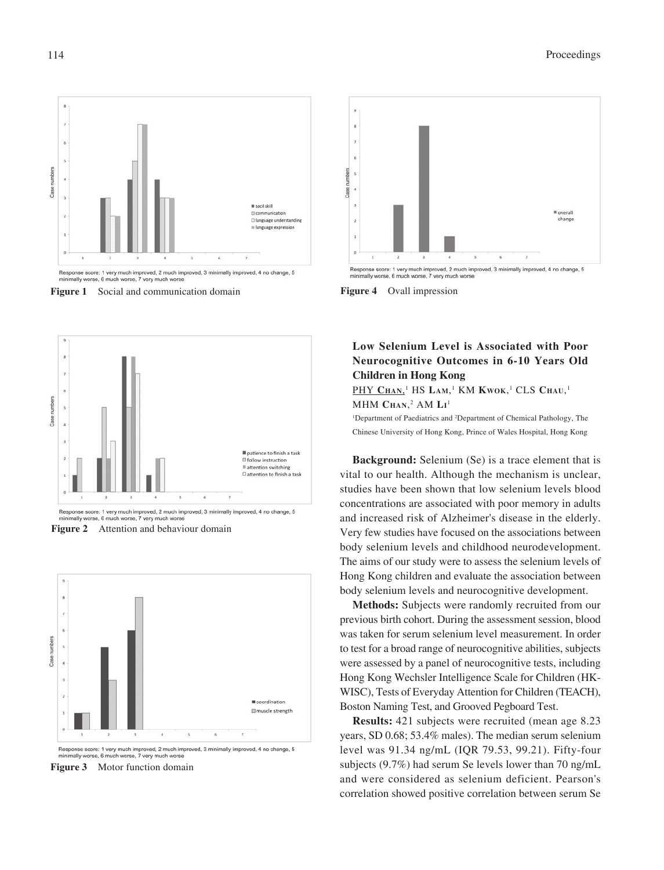





Response score: 1 very much improved, 2 much improved, 3 minimally improved, 4 no change, 5 minimally worse, 6 much worse, 7 very much worse





Response score: 1 very much improved, 2 much improved, 3 minimally improved, 4 no change, 5 minimally worse, 6 much worse, 7 very much won

**Figure 3** Motor function domain



**Figure 4** Ovall impression

# **Low Selenium Level is Associated with Poor Neurocognitive Outcomes in 6-10 Years Old Children in Hong Kong**

 $\overline{\mathrm{PHY}}$   $\mathrm{CHAN}$ , $^{1}$  HS Lam, $^{1}$  KM Kwok, $^{1}$  CLS Chau, $^{1}$ MHM **CHAN**, 2 AM **LI** 1

<sup>1</sup>Department of Paediatrics and <sup>2</sup>Department of Chemical Pathology, The Chinese University of Hong Kong, Prince of Wales Hospital, Hong Kong

**Background:** Selenium (Se) is a trace element that is vital to our health. Although the mechanism is unclear, studies have been shown that low selenium levels blood concentrations are associated with poor memory in adults and increased risk of Alzheimer's disease in the elderly. Very few studies have focused on the associations between body selenium levels and childhood neurodevelopment. The aims of our study were to assess the selenium levels of Hong Kong children and evaluate the association between body selenium levels and neurocognitive development.

**Methods:** Subjects were randomly recruited from our previous birth cohort. During the assessment session, blood was taken for serum selenium level measurement. In order to test for a broad range of neurocognitive abilities, subjects were assessed by a panel of neurocognitive tests, including Hong Kong Wechsler Intelligence Scale for Children (HK-WISC), Tests of Everyday Attention for Children (TEACH), Boston Naming Test, and Grooved Pegboard Test.

**Results:** 421 subjects were recruited (mean age 8.23 years, SD 0.68; 53.4% males). The median serum selenium level was 91.34 ng/mL (IQR 79.53, 99.21). Fifty-four subjects (9.7%) had serum Se levels lower than 70 ng/mL and were considered as selenium deficient. Pearson's correlation showed positive correlation between serum Se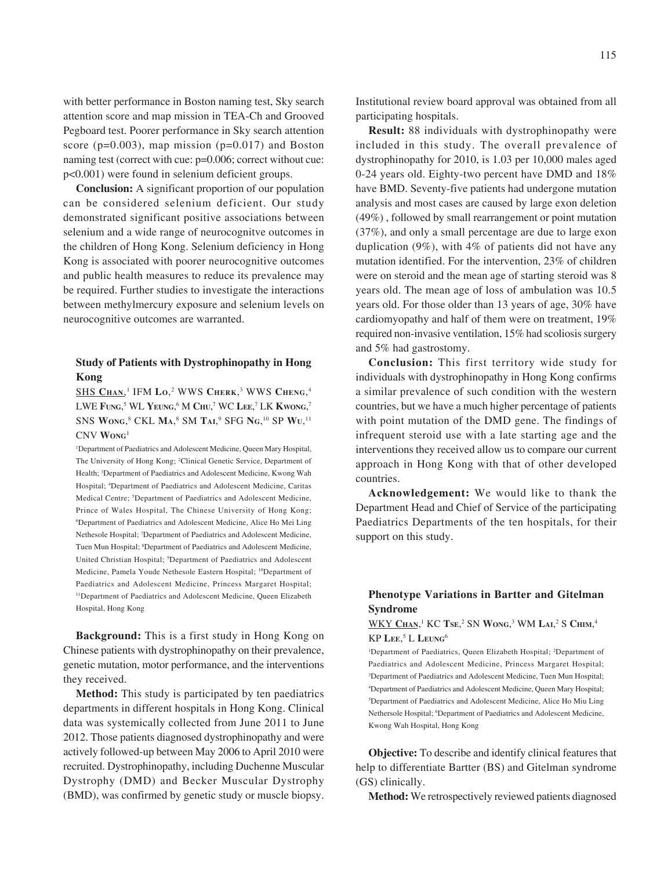with better performance in Boston naming test, Sky search attention score and map mission in TEA-Ch and Grooved Pegboard test. Poorer performance in Sky search attention score ( $p=0.003$ ), map mission ( $p=0.017$ ) and Boston naming test (correct with cue:  $p=0.006$ ; correct without cue: p<0.001) were found in selenium deficient groups.

**Conclusion:** A significant proportion of our population can be considered selenium deficient. Our study demonstrated significant positive associations between selenium and a wide range of neurocognitve outcomes in the children of Hong Kong. Selenium deficiency in Hong Kong is associated with poorer neurocognitive outcomes and public health measures to reduce its prevalence may be required. Further studies to investigate the interactions between methylmercury exposure and selenium levels on neurocognitive outcomes are warranted.

# **Study of Patients with Dystrophinopathy in Hong Kong**

SHS **CHAN**, 1 IFM **LO**, 2 WWS **CHERK**, 3 WWS **CHENG**, 4 LWE **FUNG**, 5 WL **YEUNG**, 6 M **CHU**, 7 WC **LEE**, 7 LK **KWONG**, 7 SNS **WONG**, 8 CKL **MA**, 8 SM **TAI**, 9 SFG **NG**, 10 SP **WU**, 11 CNV **WONG**<sup>1</sup>

<sup>1</sup>Department of Paediatrics and Adolescent Medicine, Queen Mary Hospital, The University of Hong Kong; <sup>2</sup>Clinical Genetic Service, Department of Health; <sup>3</sup>Department of Paediatrics and Adolescent Medicine, Kwong Wah Hospital; 4 Department of Paediatrics and Adolescent Medicine, Caritas Medical Centre; <sup>5</sup>Department of Paediatrics and Adolescent Medicine, Prince of Wales Hospital, The Chinese University of Hong Kong; 6 Department of Paediatrics and Adolescent Medicine, Alice Ho Mei Ling Nethesole Hospital; 7 Department of Paediatrics and Adolescent Medicine, Tuen Mun Hospital; <sup>8</sup>Department of Paediatrics and Adolescent Medicine, United Christian Hospital; <sup>9</sup>Department of Paediatrics and Adolescent Medicine, Pamela Youde Nethesole Eastern Hospital; 10Department of Paediatrics and Adolescent Medicine, Princess Margaret Hospital; <sup>11</sup>Department of Paediatrics and Adolescent Medicine, Queen Elizabeth Hospital, Hong Kong

**Background:** This is a first study in Hong Kong on Chinese patients with dystrophinopathy on their prevalence, genetic mutation, motor performance, and the interventions they received.

**Method:** This study is participated by ten paediatrics departments in different hospitals in Hong Kong. Clinical data was systemically collected from June 2011 to June 2012. Those patients diagnosed dystrophinopathy and were actively followed-up between May 2006 to April 2010 were recruited. Dystrophinopathy, including Duchenne Muscular Dystrophy (DMD) and Becker Muscular Dystrophy (BMD), was confirmed by genetic study or muscle biopsy.

Institutional review board approval was obtained from all participating hospitals.

**Result:** 88 individuals with dystrophinopathy were included in this study. The overall prevalence of dystrophinopathy for 2010, is 1.03 per 10,000 males aged 0-24 years old. Eighty-two percent have DMD and 18% have BMD. Seventy-five patients had undergone mutation analysis and most cases are caused by large exon deletion (49%) , followed by small rearrangement or point mutation (37%), and only a small percentage are due to large exon duplication (9%), with 4% of patients did not have any mutation identified. For the intervention, 23% of children were on steroid and the mean age of starting steroid was 8 years old. The mean age of loss of ambulation was 10.5 years old. For those older than 13 years of age, 30% have cardiomyopathy and half of them were on treatment, 19% required non-invasive ventilation, 15% had scoliosis surgery and 5% had gastrostomy.

**Conclusion:** This first territory wide study for individuals with dystrophinopathy in Hong Kong confirms a similar prevalence of such condition with the western countries, but we have a much higher percentage of patients with point mutation of the DMD gene. The findings of infrequent steroid use with a late starting age and the interventions they received allow us to compare our current approach in Hong Kong with that of other developed countries.

**Acknowledgement:** We would like to thank the Department Head and Chief of Service of the participating Paediatrics Departments of the ten hospitals, for their support on this study.

# **Phenotype Variations in Bartter and Gitelman Syndrome**

### $\overline{\text{WKY Cham}}, ^{1}\text{KC Tse}, ^{2}\text{SN Wong}, ^{3}\text{WM LaI}, ^{2}\text{S CHIM}, ^{4}\text{}$ KP **LEE**, 5 L **LEUNG**<sup>6</sup>

<sup>1</sup>Department of Paediatrics, Queen Elizabeth Hospital; <sup>2</sup>Department of Paediatrics and Adolescent Medicine, Princess Margaret Hospital; <sup>3</sup>Department of Paediatrics and Adolescent Medicine, Tuen Mun Hospital; 4 Department of Paediatrics and Adolescent Medicine, Queen Mary Hospital; 5 Department of Paediatrics and Adolescent Medicine, Alice Ho Miu Ling Nethersole Hospital; <sup>6</sup>Department of Paediatrics and Adolescent Medicine, Kwong Wah Hospital, Hong Kong

**Objective:** To describe and identify clinical features that help to differentiate Bartter (BS) and Gitelman syndrome (GS) clinically.

**Method:** We retrospectively reviewed patients diagnosed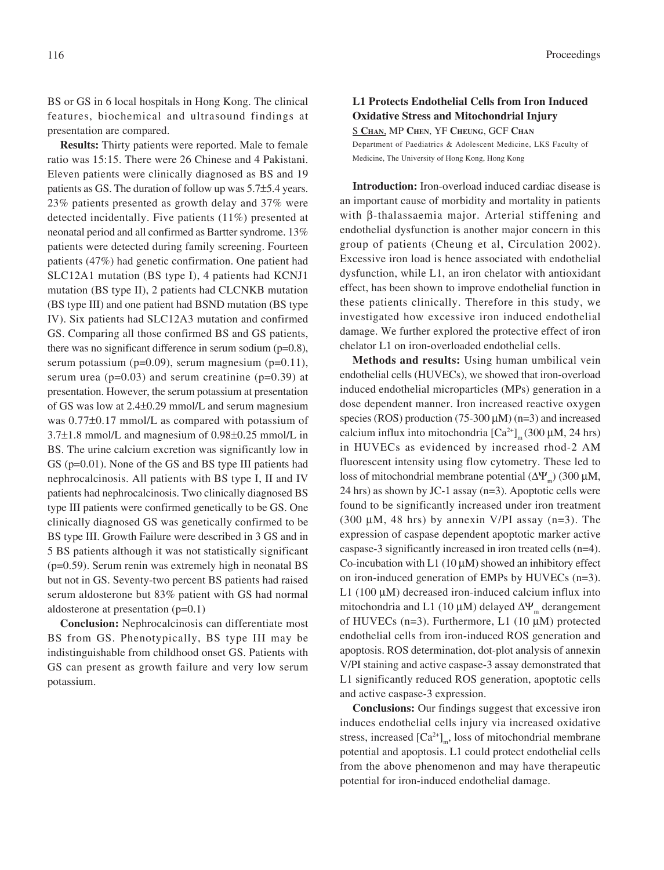BS or GS in 6 local hospitals in Hong Kong. The clinical features, biochemical and ultrasound findings at presentation are compared.

**Results:** Thirty patients were reported. Male to female ratio was 15:15. There were 26 Chinese and 4 Pakistani. Eleven patients were clinically diagnosed as BS and 19 patients as GS. The duration of follow up was 5.7±5.4 years. 23% patients presented as growth delay and 37% were detected incidentally. Five patients (11%) presented at neonatal period and all confirmed as Bartter syndrome. 13% patients were detected during family screening. Fourteen patients (47%) had genetic confirmation. One patient had SLC12A1 mutation (BS type I), 4 patients had KCNJ1 mutation (BS type II), 2 patients had CLCNKB mutation (BS type III) and one patient had BSND mutation (BS type IV). Six patients had SLC12A3 mutation and confirmed GS. Comparing all those confirmed BS and GS patients, there was no significant difference in serum sodium (p=0.8), serum potassium (p=0.09), serum magnesium (p=0.11), serum urea ( $p=0.03$ ) and serum creatinine ( $p=0.39$ ) at presentation. However, the serum potassium at presentation of GS was low at 2.4±0.29 mmol/L and serum magnesium was 0.77±0.17 mmol/L as compared with potassium of 3.7±1.8 mmol/L and magnesium of 0.98±0.25 mmol/L in BS. The urine calcium excretion was significantly low in GS (p=0.01). None of the GS and BS type III patients had nephrocalcinosis. All patients with BS type I, II and IV patients had nephrocalcinosis. Two clinically diagnosed BS type III patients were confirmed genetically to be GS. One clinically diagnosed GS was genetically confirmed to be BS type III. Growth Failure were described in 3 GS and in 5 BS patients although it was not statistically significant (p=0.59). Serum renin was extremely high in neonatal BS but not in GS. Seventy-two percent BS patients had raised serum aldosterone but 83% patient with GS had normal aldosterone at presentation (p=0.1)

**Conclusion:** Nephrocalcinosis can differentiate most BS from GS. Phenotypically, BS type III may be indistinguishable from childhood onset GS. Patients with GS can present as growth failure and very low serum potassium.

# **L1 Protects Endothelial Cells from Iron Induced Oxidative Stress and Mitochondrial Injury**

S **CHAN**, MP **CHEN**, YF **CHEUNG**, GCF **CHAN** Department of Paediatrics & Adolescent Medicine, LKS Faculty of Medicine, The University of Hong Kong, Hong Kong

**Introduction:** Iron-overload induced cardiac disease is an important cause of morbidity and mortality in patients with β-thalassaemia major. Arterial stiffening and endothelial dysfunction is another major concern in this group of patients (Cheung et al, Circulation 2002). Excessive iron load is hence associated with endothelial dysfunction, while L1, an iron chelator with antioxidant effect, has been shown to improve endothelial function in these patients clinically. Therefore in this study, we investigated how excessive iron induced endothelial damage. We further explored the protective effect of iron chelator L1 on iron-overloaded endothelial cells.

**Methods and results:** Using human umbilical vein endothelial cells (HUVECs), we showed that iron-overload induced endothelial microparticles (MPs) generation in a dose dependent manner. Iron increased reactive oxygen species (ROS) production (75-300  $\mu$ M) (n=3) and increased calcium influx into mitochondria  $\left[Ca^{2+}\right]_{m}$  (300 µM, 24 hrs) in HUVECs as evidenced by increased rhod-2 AM fluorescent intensity using flow cytometry. These led to loss of mitochondrial membrane potential  $(ΔΨ<sub>m</sub>)$  (300 μM, 24 hrs) as shown by JC-1 assay (n=3). Apoptotic cells were found to be significantly increased under iron treatment (300  $\mu$ M, 48 hrs) by annexin V/PI assay (n=3). The expression of caspase dependent apoptotic marker active caspase-3 significantly increased in iron treated cells (n=4). Co-incubation with L1 (10  $\mu$ M) showed an inhibitory effect on iron-induced generation of EMPs by HUVECs (n=3). L1 (100  $\mu$ M) decreased iron-induced calcium influx into mitochondria and L1 (10  $\mu$ M) delayed  $\Delta \Psi_m$  derangement of HUVECs (n=3). Furthermore, L1 (10  $\mu$ M) protected endothelial cells from iron-induced ROS generation and apoptosis. ROS determination, dot-plot analysis of annexin V/PI staining and active caspase-3 assay demonstrated that L1 significantly reduced ROS generation, apoptotic cells and active caspase-3 expression.

**Conclusions:** Our findings suggest that excessive iron induces endothelial cells injury via increased oxidative stress, increased  $\left[Ca^{2+}\right]_{m}$ , loss of mitochondrial membrane potential and apoptosis. L1 could protect endothelial cells from the above phenomenon and may have therapeutic potential for iron-induced endothelial damage.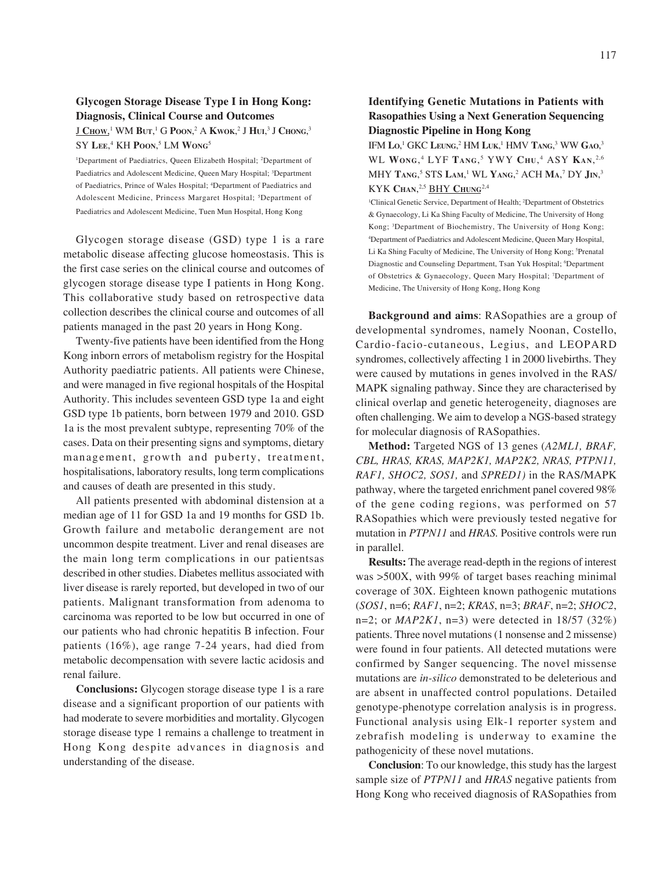### **Glycogen Storage Disease Type I in Hong Kong: Diagnosis, Clinical Course and Outcomes**

 $J$   $\mathbf{C}$ ноw,<sup>1</sup> WM  $\mathbf{B}$ ut,<sup>1</sup> G  $\mathbf{P}$ oon,<sup>2</sup> A  $\mathbf{K}$ wok,<sup>2</sup> J  $\mathbf{H}$ ui,<sup>3</sup> J  $\mathbf{C}$ hong,<sup>3</sup>  $SY$  Lee,<sup>4</sup> KH **P**oon,<sup>5</sup> LM **Wong**<sup>5</sup>

<sup>1</sup>Department of Paediatrics, Queen Elizabeth Hospital; <sup>2</sup>Department of Paediatrics and Adolescent Medicine, Queen Mary Hospital; <sup>3</sup>Department of Paediatrics, Prince of Wales Hospital; 4 Department of Paediatrics and Adolescent Medicine, Princess Margaret Hospital; <sup>5</sup>Department of Paediatrics and Adolescent Medicine, Tuen Mun Hospital, Hong Kong

Glycogen storage disease (GSD) type 1 is a rare metabolic disease affecting glucose homeostasis. This is the first case series on the clinical course and outcomes of glycogen storage disease type I patients in Hong Kong. This collaborative study based on retrospective data collection describes the clinical course and outcomes of all patients managed in the past 20 years in Hong Kong.

Twenty-five patients have been identified from the Hong Kong inborn errors of metabolism registry for the Hospital Authority paediatric patients. All patients were Chinese, and were managed in five regional hospitals of the Hospital Authority. This includes seventeen GSD type 1a and eight GSD type 1b patients, born between 1979 and 2010. GSD 1a is the most prevalent subtype, representing 70% of the cases. Data on their presenting signs and symptoms, dietary management, growth and puberty, treatment, hospitalisations, laboratory results, long term complications and causes of death are presented in this study.

All patients presented with abdominal distension at a median age of 11 for GSD 1a and 19 months for GSD 1b. Growth failure and metabolic derangement are not uncommon despite treatment. Liver and renal diseases are the main long term complications in our patientsas described in other studies. Diabetes mellitus associated with liver disease is rarely reported, but developed in two of our patients. Malignant transformation from adenoma to carcinoma was reported to be low but occurred in one of our patients who had chronic hepatitis B infection. Four patients (16%), age range 7-24 years, had died from metabolic decompensation with severe lactic acidosis and renal failure.

**Conclusions:** Glycogen storage disease type 1 is a rare disease and a significant proportion of our patients with had moderate to severe morbidities and mortality. Glycogen storage disease type 1 remains a challenge to treatment in Hong Kong despite advances in diagnosis and understanding of the disease.

### **Identifying Genetic Mutations in Patients with Rasopathies Using a Next Generation Sequencing Diagnostic Pipeline in Hong Kong**

IFM Lo,<sup>1</sup> GKC Leung,<sup>2</sup> HM Luk,<sup>1</sup> HMV Tang,<sup>3</sup> WW Gao,<sup>3</sup> WL **WONG**, 4 LYF **TANG**, 5 YWY **CHU**, 4 ASY **KAN**, 2,6 MHY **TANG**, 5 STS **LAM**, 1 WL **YANG**, 2 ACH **MA**, 7 DY **JIN**, 3 KYK **CHAN**, 2,5 BHY **CHUNG**2,4

<sup>1</sup>Clinical Genetic Service, Department of Health; <sup>2</sup>Department of Obstetrics & Gynaecology, Li Ka Shing Faculty of Medicine, The University of Hong Kong; 3 Department of Biochemistry, The University of Hong Kong; 4 Department of Paediatrics and Adolescent Medicine, Queen Mary Hospital, Li Ka Shing Faculty of Medicine, The University of Hong Kong; <sup>5</sup>Prenatal Diagnostic and Counseling Department, Tsan Yuk Hospital; <sup>6</sup>Department of Obstetrics & Gynaecology, Queen Mary Hospital; 7 Department of Medicine, The University of Hong Kong, Hong Kong

**Background and aims**: RASopathies are a group of developmental syndromes, namely Noonan, Costello, Cardio-facio-cutaneous, Legius, and LEOPARD syndromes, collectively affecting 1 in 2000 livebirths. They were caused by mutations in genes involved in the RAS/ MAPK signaling pathway. Since they are characterised by clinical overlap and genetic heterogeneity, diagnoses are often challenging. We aim to develop a NGS-based strategy for molecular diagnosis of RASopathies.

**Method:** Targeted NGS of 13 genes (*A2ML1, BRAF, CBL, HRAS, KRAS, MAP2K1, MAP2K2, NRAS, PTPN11, RAF1, SHOC2, SOS1,* and *SPRED1)* in the RAS/MAPK pathway, where the targeted enrichment panel covered 98% of the gene coding regions, was performed on 57 RASopathies which were previously tested negative for mutation in *PTPN11* and *HRAS.* Positive controls were run in parallel.

**Results:** The average read-depth in the regions of interest was >500X, with 99% of target bases reaching minimal coverage of 30X. Eighteen known pathogenic mutations (*SOS1*, n=6; *RAF1*, n=2; *KRAS*, n=3; *BRAF*, n=2; *SHOC2*, n=2; or *MAP2K1*, n=3) were detected in 18/57 (32%) patients. Three novel mutations (1 nonsense and 2 missense) were found in four patients. All detected mutations were confirmed by Sanger sequencing. The novel missense mutations are *in-silico* demonstrated to be deleterious and are absent in unaffected control populations. Detailed genotype-phenotype correlation analysis is in progress. Functional analysis using Elk-1 reporter system and zebrafish modeling is underway to examine the pathogenicity of these novel mutations.

**Conclusion**: To our knowledge, this study has the largest sample size of *PTPN11* and *HRAS* negative patients from Hong Kong who received diagnosis of RASopathies from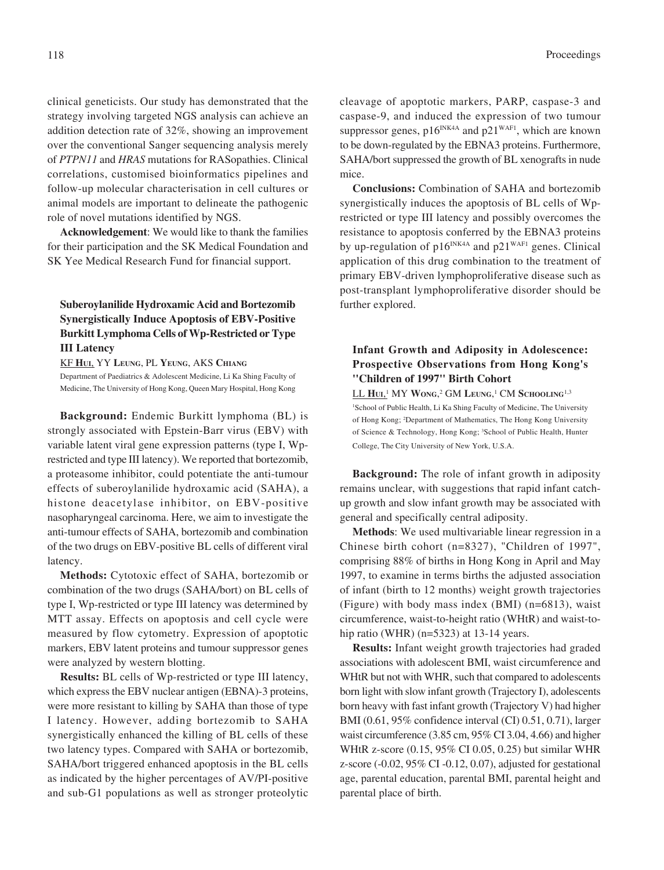clinical geneticists. Our study has demonstrated that the strategy involving targeted NGS analysis can achieve an addition detection rate of 32%, showing an improvement over the conventional Sanger sequencing analysis merely of *PTPN11* and *HRAS* mutations for RASopathies. Clinical correlations, customised bioinformatics pipelines and follow-up molecular characterisation in cell cultures or animal models are important to delineate the pathogenic role of novel mutations identified by NGS.

**Acknowledgement**: We would like to thank the families for their participation and the SK Medical Foundation and SK Yee Medical Research Fund for financial support.

# **Suberoylanilide Hydroxamic Acid and Bortezomib Synergistically Induce Apoptosis of EBV-Positive Burkitt Lymphoma Cells of Wp-Restricted or Type III Latency**

KF **HUI**, YY **LEUNG**, PL **YEUNG**, AKS **CHIANG**

Department of Paediatrics & Adolescent Medicine, Li Ka Shing Faculty of Medicine, The University of Hong Kong, Queen Mary Hospital, Hong Kong

**Background:** Endemic Burkitt lymphoma (BL) is strongly associated with Epstein-Barr virus (EBV) with variable latent viral gene expression patterns (type I, Wprestricted and type III latency). We reported that bortezomib, a proteasome inhibitor, could potentiate the anti-tumour effects of suberoylanilide hydroxamic acid (SAHA), a histone deacetylase inhibitor, on EBV-positive nasopharyngeal carcinoma. Here, we aim to investigate the anti-tumour effects of SAHA, bortezomib and combination of the two drugs on EBV-positive BL cells of different viral latency.

**Methods:** Cytotoxic effect of SAHA, bortezomib or combination of the two drugs (SAHA/bort) on BL cells of type I, Wp-restricted or type III latency was determined by MTT assay. Effects on apoptosis and cell cycle were measured by flow cytometry. Expression of apoptotic markers, EBV latent proteins and tumour suppressor genes were analyzed by western blotting.

**Results:** BL cells of Wp-restricted or type III latency, which express the EBV nuclear antigen (EBNA)-3 proteins, were more resistant to killing by SAHA than those of type I latency. However, adding bortezomib to SAHA synergistically enhanced the killing of BL cells of these two latency types. Compared with SAHA or bortezomib, SAHA/bort triggered enhanced apoptosis in the BL cells as indicated by the higher percentages of AV/PI-positive and sub-G1 populations as well as stronger proteolytic

cleavage of apoptotic markers, PARP, caspase-3 and caspase-9, and induced the expression of two tumour suppressor genes,  $p16^{INK4A}$  and  $p21^{WAF1}$ , which are known to be down-regulated by the EBNA3 proteins. Furthermore, SAHA/bort suppressed the growth of BL xenografts in nude mice.

**Conclusions:** Combination of SAHA and bortezomib synergistically induces the apoptosis of BL cells of Wprestricted or type III latency and possibly overcomes the resistance to apoptosis conferred by the EBNA3 proteins by up-regulation of  $p16^{INK4A}$  and  $p21^{WAF1}$  genes. Clinical application of this drug combination to the treatment of primary EBV-driven lymphoproliferative disease such as post-transplant lymphoproliferative disorder should be further explored.

# **Infant Growth and Adiposity in Adolescence: Prospective Observations from Hong Kong's ''Children of 1997'' Birth Cohort**

LL **HUI**, 1 MY **WONG**, 2 GM **LEUNG**, 1 CM **SCHOOLING**1,3 <sup>1</sup>School of Public Health, Li Ka Shing Faculty of Medicine, The University of Hong Kong; 2 Department of Mathematics, The Hong Kong University of Science & Technology, Hong Kong; <sup>3</sup>School of Public Health, Hunter College, The City University of New York, U.S.A.

**Background:** The role of infant growth in adiposity remains unclear, with suggestions that rapid infant catchup growth and slow infant growth may be associated with general and specifically central adiposity.

**Methods**: We used multivariable linear regression in a Chinese birth cohort (n=8327), "Children of 1997", comprising 88% of births in Hong Kong in April and May 1997, to examine in terms births the adjusted association of infant (birth to 12 months) weight growth trajectories (Figure) with body mass index (BMI) (n=6813), waist circumference, waist-to-height ratio (WHtR) and waist-tohip ratio (WHR) (n=5323) at 13-14 years.

**Results:** Infant weight growth trajectories had graded associations with adolescent BMI, waist circumference and WHtR but not with WHR, such that compared to adolescents born light with slow infant growth (Trajectory I), adolescents born heavy with fast infant growth (Trajectory V) had higher BMI (0.61, 95% confidence interval (CI) 0.51, 0.71), larger waist circumference (3.85 cm, 95% CI 3.04, 4.66) and higher WHtR z-score (0.15, 95% CI 0.05, 0.25) but similar WHR z-score (-0.02, 95% CI -0.12, 0.07), adjusted for gestational age, parental education, parental BMI, parental height and parental place of birth.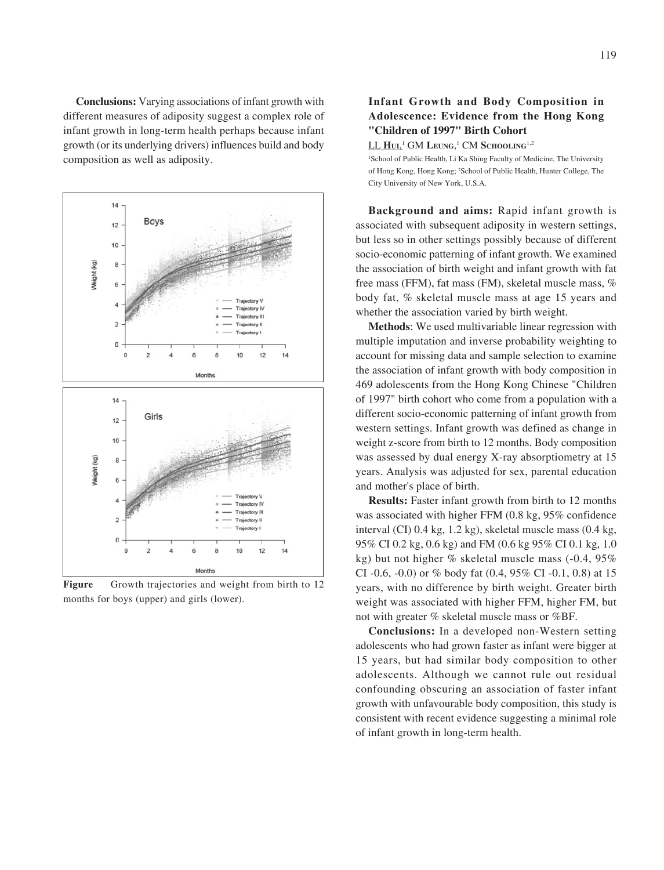**Conclusions:** Varying associations of infant growth with different measures of adiposity suggest a complex role of infant growth in long-term health perhaps because infant growth (or its underlying drivers) influences build and body composition as well as adiposity.



Figure Growth trajectories and weight from birth to 12 months for boys (upper) and girls (lower).

# **Infant Growth and Body Composition in Adolescence: Evidence from the Hong Kong "Children of 1997" Birth Cohort**

LL **HUI**, 1 GM **LEUNG**, 1 CM **SCHOOLING**1,2

<sup>1</sup>School of Public Health, Li Ka Shing Faculty of Medicine, The University of Hong Kong, Hong Kong; 2 School of Public Health, Hunter College, The City University of New York, U.S.A.

**Background and aims:** Rapid infant growth is associated with subsequent adiposity in western settings, but less so in other settings possibly because of different socio-economic patterning of infant growth. We examined the association of birth weight and infant growth with fat free mass (FFM), fat mass (FM), skeletal muscle mass, % body fat, % skeletal muscle mass at age 15 years and whether the association varied by birth weight.

**Methods**: We used multivariable linear regression with multiple imputation and inverse probability weighting to account for missing data and sample selection to examine the association of infant growth with body composition in 469 adolescents from the Hong Kong Chinese "Children of 1997" birth cohort who come from a population with a different socio-economic patterning of infant growth from western settings. Infant growth was defined as change in weight z-score from birth to 12 months. Body composition was assessed by dual energy X-ray absorptiometry at 15 years. Analysis was adjusted for sex, parental education and mother's place of birth.

**Results:** Faster infant growth from birth to 12 months was associated with higher FFM (0.8 kg, 95% confidence interval (CI) 0.4 kg, 1.2 kg), skeletal muscle mass (0.4 kg, 95% CI 0.2 kg, 0.6 kg) and FM (0.6 kg 95% CI 0.1 kg, 1.0 kg) but not higher % skeletal muscle mass (-0.4, 95% CI -0.6, -0.0) or % body fat  $(0.4, 95\% \text{ CI} -0.1, 0.8)$  at 15 years, with no difference by birth weight. Greater birth weight was associated with higher FFM, higher FM, but not with greater % skeletal muscle mass or %BF.

**Conclusions:** In a developed non-Western setting adolescents who had grown faster as infant were bigger at 15 years, but had similar body composition to other adolescents. Although we cannot rule out residual confounding obscuring an association of faster infant growth with unfavourable body composition, this study is consistent with recent evidence suggesting a minimal role of infant growth in long-term health.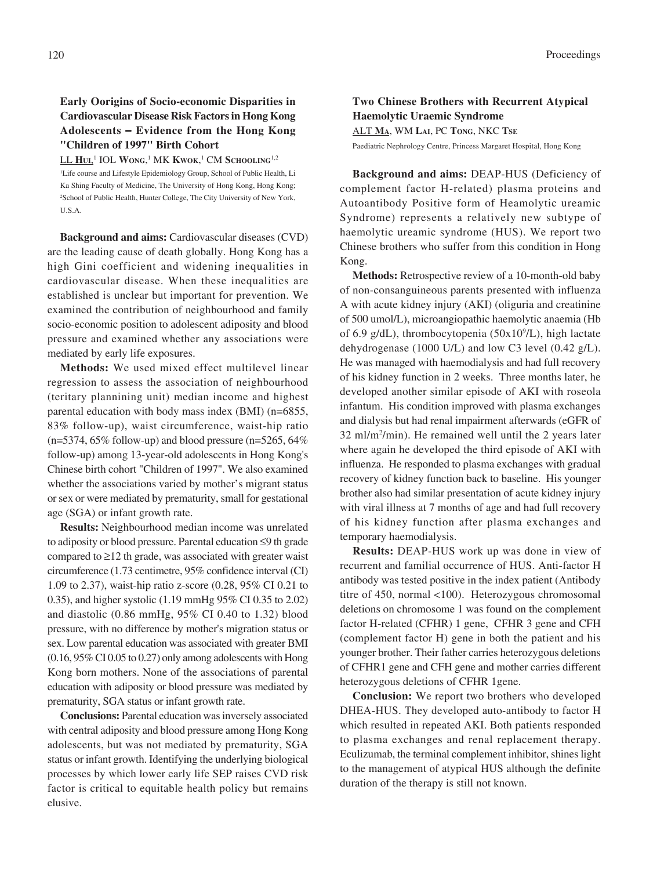# **Early Oorigins of Socio-economic Disparities in Cardiovascular Disease Risk Factors in Hong Kong Adolescents** − **Evidence from the Hong Kong "Children of 1997" Birth Cohort**

LL **HUI**, 1 IOL **WONG**, 1 MK **KWOK**, 1 CM **SCHOOLING**1,2

<sup>1</sup>Life course and Lifestyle Epidemiology Group, School of Public Health, Li Ka Shing Faculty of Medicine, The University of Hong Kong, Hong Kong; 2 School of Public Health, Hunter College, The City University of New York, U.S.A.

**Background and aims:** Cardiovascular diseases (CVD) are the leading cause of death globally. Hong Kong has a high Gini coefficient and widening inequalities in cardiovascular disease. When these inequalities are established is unclear but important for prevention. We examined the contribution of neighbourhood and family socio-economic position to adolescent adiposity and blood pressure and examined whether any associations were mediated by early life exposures.

**Methods:** We used mixed effect multilevel linear regression to assess the association of neighbourhood (teritary plannining unit) median income and highest parental education with body mass index (BMI) (n=6855, 83% follow-up), waist circumference, waist-hip ratio  $(n=5374, 65\%$  follow-up) and blood pressure  $(n=5265, 64\%$ follow-up) among 13-year-old adolescents in Hong Kong's Chinese birth cohort "Children of 1997". We also examined whether the associations varied by mother's migrant status or sex or were mediated by prematurity, small for gestational age (SGA) or infant growth rate.

**Results:** Neighbourhood median income was unrelated to adiposity or blood pressure. Parental education ≤9 th grade compared to  $\geq$ 12 th grade, was associated with greater waist circumference (1.73 centimetre, 95% confidence interval (CI) 1.09 to 2.37), waist-hip ratio z-score (0.28, 95% CI 0.21 to 0.35), and higher systolic (1.19 mmHg 95% CI 0.35 to 2.02) and diastolic (0.86 mmHg, 95% CI 0.40 to 1.32) blood pressure, with no difference by mother's migration status or sex. Low parental education was associated with greater BMI (0.16, 95% CI 0.05 to 0.27) only among adolescents with Hong Kong born mothers. None of the associations of parental education with adiposity or blood pressure was mediated by prematurity, SGA status or infant growth rate.

**Conclusions:** Parental education was inversely associated with central adiposity and blood pressure among Hong Kong adolescents, but was not mediated by prematurity, SGA status or infant growth. Identifying the underlying biological processes by which lower early life SEP raises CVD risk factor is critical to equitable health policy but remains elusive.

### **Two Chinese Brothers with Recurrent Atypical Haemolytic Uraemic Syndrome** ALT **MA**, WM **LAI**, PC **TONG**, NKC **TSE**

Paediatric Nephrology Centre, Princess Margaret Hospital, Hong Kong

**Background and aims:** DEAP-HUS (Deficiency of complement factor H-related) plasma proteins and Autoantibody Positive form of Heamolytic ureamic Syndrome) represents a relatively new subtype of haemolytic ureamic syndrome (HUS). We report two Chinese brothers who suffer from this condition in Hong Kong.

**Methods:** Retrospective review of a 10-month-old baby of non-consanguineous parents presented with influenza A with acute kidney injury (AKI) (oliguria and creatinine of 500 umol/L), microangiopathic haemolytic anaemia (Hb of 6.9 g/dL), thrombocytopenia (50x10<sup>9</sup>/L), high lactate dehydrogenase (1000 U/L) and low C3 level (0.42 g/L). He was managed with haemodialysis and had full recovery of his kidney function in 2 weeks. Three months later, he developed another similar episode of AKI with roseola infantum. His condition improved with plasma exchanges and dialysis but had renal impairment afterwards (eGFR of 32 ml/m2 /min). He remained well until the 2 years later where again he developed the third episode of AKI with influenza. He responded to plasma exchanges with gradual recovery of kidney function back to baseline. His younger brother also had similar presentation of acute kidney injury with viral illness at 7 months of age and had full recovery of his kidney function after plasma exchanges and temporary haemodialysis.

**Results:** DEAP-HUS work up was done in view of recurrent and familial occurrence of HUS. Anti-factor H antibody was tested positive in the index patient (Antibody titre of 450, normal <100). Heterozygous chromosomal deletions on chromosome 1 was found on the complement factor H-related (CFHR) 1 gene, CFHR 3 gene and CFH (complement factor H) gene in both the patient and his younger brother. Their father carries heterozygous deletions of CFHR1 gene and CFH gene and mother carries different heterozygous deletions of CFHR 1gene.

**Conclusion:** We report two brothers who developed DHEA-HUS. They developed auto-antibody to factor H which resulted in repeated AKI. Both patients responded to plasma exchanges and renal replacement therapy. Eculizumab, the terminal complement inhibitor, shines light to the management of atypical HUS although the definite duration of the therapy is still not known.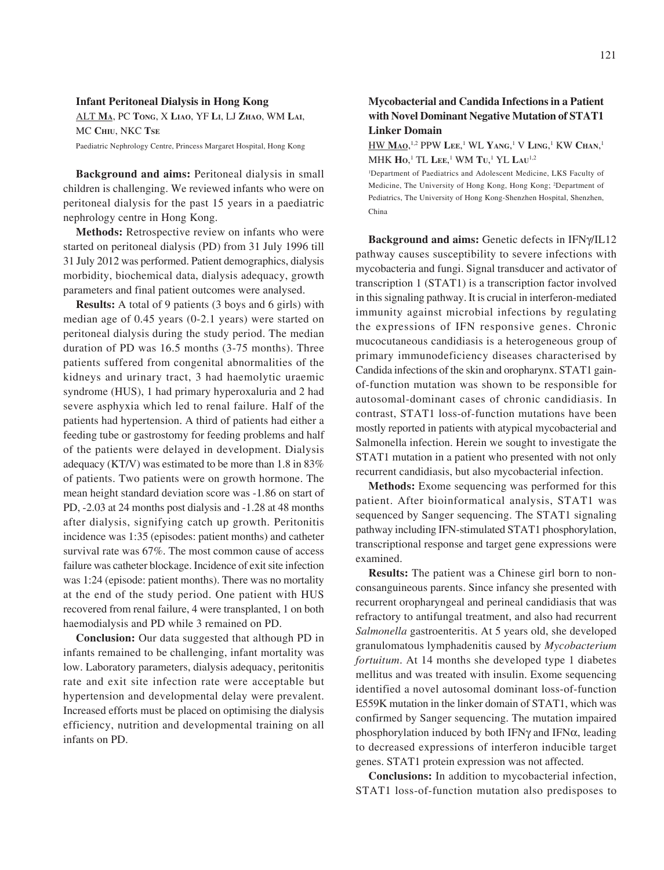# **Infant Peritoneal Dialysis in Hong Kong** ALT **MA**, PC **TONG**, X **LIAO**, YF **LI**, LJ **ZHAO**, WM **LAI**, MC **CHIU**, NKC **TSE**

Paediatric Nephrology Centre, Princess Margaret Hospital, Hong Kong

**Background and aims:** Peritoneal dialysis in small children is challenging. We reviewed infants who were on peritoneal dialysis for the past 15 years in a paediatric nephrology centre in Hong Kong.

**Methods:** Retrospective review on infants who were started on peritoneal dialysis (PD) from 31 July 1996 till 31 July 2012 was performed. Patient demographics, dialysis morbidity, biochemical data, dialysis adequacy, growth parameters and final patient outcomes were analysed.

**Results:** A total of 9 patients (3 boys and 6 girls) with median age of 0.45 years (0-2.1 years) were started on peritoneal dialysis during the study period. The median duration of PD was 16.5 months (3-75 months). Three patients suffered from congenital abnormalities of the kidneys and urinary tract, 3 had haemolytic uraemic syndrome (HUS), 1 had primary hyperoxaluria and 2 had severe asphyxia which led to renal failure. Half of the patients had hypertension. A third of patients had either a feeding tube or gastrostomy for feeding problems and half of the patients were delayed in development. Dialysis adequacy (KT/V) was estimated to be more than 1.8 in 83% of patients. Two patients were on growth hormone. The mean height standard deviation score was -1.86 on start of PD, -2.03 at 24 months post dialysis and -1.28 at 48 months after dialysis, signifying catch up growth. Peritonitis incidence was 1:35 (episodes: patient months) and catheter survival rate was 67%. The most common cause of access failure was catheter blockage. Incidence of exit site infection was 1:24 (episode: patient months). There was no mortality at the end of the study period. One patient with HUS recovered from renal failure, 4 were transplanted, 1 on both haemodialysis and PD while 3 remained on PD.

**Conclusion:** Our data suggested that although PD in infants remained to be challenging, infant mortality was low. Laboratory parameters, dialysis adequacy, peritonitis rate and exit site infection rate were acceptable but hypertension and developmental delay were prevalent. Increased efforts must be placed on optimising the dialysis efficiency, nutrition and developmental training on all infants on PD.

### **Mycobacterial and Candida Infections in a Patient with Novel Dominant Negative Mutation of STAT1 Linker Domain**

HW **MAO**, 1,2 PPW **LEE**, 1 WL **YANG**, 1 V **LING**, 1 KW **CHAN**, 1 MHK **HO**, 1 TL **LEE**, 1 WM **TU**, 1 YL **LAU**1,2

1 Department of Paediatrics and Adolescent Medicine, LKS Faculty of Medicine, The University of Hong Kong, Hong Kong; 2 Department of Pediatrics, The University of Hong Kong-Shenzhen Hospital, Shenzhen, China

Background and aims: Genetic defects in IFN $\gamma$ /IL12 pathway causes susceptibility to severe infections with mycobacteria and fungi. Signal transducer and activator of transcription 1 (STAT1) is a transcription factor involved in this signaling pathway. It is crucial in interferon-mediated immunity against microbial infections by regulating the expressions of IFN responsive genes. Chronic mucocutaneous candidiasis is a heterogeneous group of primary immunodeficiency diseases characterised by Candida infections of the skin and oropharynx. STAT1 gainof-function mutation was shown to be responsible for autosomal-dominant cases of chronic candidiasis. In contrast, STAT1 loss-of-function mutations have been mostly reported in patients with atypical mycobacterial and Salmonella infection. Herein we sought to investigate the STAT1 mutation in a patient who presented with not only recurrent candidiasis, but also mycobacterial infection.

**Methods:** Exome sequencing was performed for this patient. After bioinformatical analysis, STAT1 was sequenced by Sanger sequencing. The STAT1 signaling pathway including IFN-stimulated STAT1 phosphorylation, transcriptional response and target gene expressions were examined.

**Results:** The patient was a Chinese girl born to nonconsanguineous parents. Since infancy she presented with recurrent oropharyngeal and perineal candidiasis that was refractory to antifungal treatment, and also had recurrent *Salmonella* gastroenteritis. At 5 years old, she developed granulomatous lymphadenitis caused by *Mycobacterium fortuitum*. At 14 months she developed type 1 diabetes mellitus and was treated with insulin. Exome sequencing identified a novel autosomal dominant loss-of-function E559K mutation in the linker domain of STAT1, which was confirmed by Sanger sequencing. The mutation impaired phosphorylation induced by both IFN $\gamma$  and IFN $\alpha$ , leading to decreased expressions of interferon inducible target genes. STAT1 protein expression was not affected.

**Conclusions:** In addition to mycobacterial infection, STAT1 loss-of-function mutation also predisposes to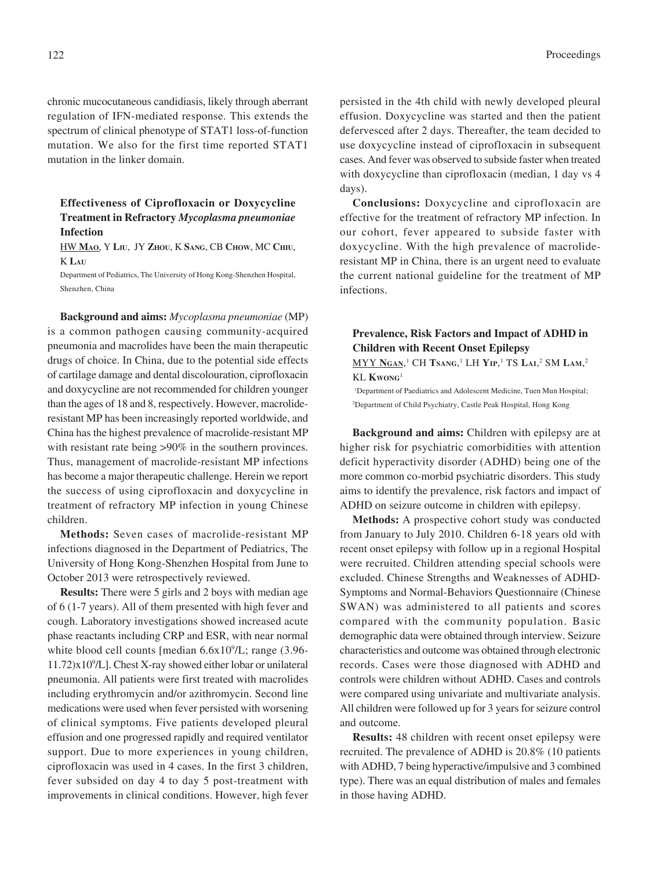chronic mucocutaneous candidiasis, likely through aberrant regulation of IFN-mediated response. This extends the spectrum of clinical phenotype of STAT1 loss-of-function mutation. We also for the first time reported STAT1 mutation in the linker domain.

### **Effectiveness of Ciprofloxacin or Doxycycline Treatment in Refractory** *Mycoplasma pneumoniae* **Infection**

HW **MAO**, Y **LIU**, JY **ZHOU**, K **SANG**, CB **CHOW**, MC **CHIU**, K **LAU**

Department of Pediatrics, The University of Hong Kong-Shenzhen Hospital, Shenzhen, China

**Background and aims:** *Mycoplasma pneumoniae* (MP) is a common pathogen causing community-acquired pneumonia and macrolides have been the main therapeutic drugs of choice. In China, due to the potential side effects of cartilage damage and dental discolouration, ciprofloxacin and doxycycline are not recommended for children younger than the ages of 18 and 8, respectively. However, macrolideresistant MP has been increasingly reported worldwide, and China has the highest prevalence of macrolide-resistant MP with resistant rate being >90% in the southern provinces. Thus, management of macrolide-resistant MP infections has become a major therapeutic challenge. Herein we report the success of using ciprofloxacin and doxycycline in treatment of refractory MP infection in young Chinese children.

**Methods:** Seven cases of macrolide-resistant MP infections diagnosed in the Department of Pediatrics, The University of Hong Kong-Shenzhen Hospital from June to October 2013 were retrospectively reviewed.

**Results:** There were 5 girls and 2 boys with median age of 6 (1-7 years). All of them presented with high fever and cough. Laboratory investigations showed increased acute phase reactants including CRP and ESR, with near normal white blood cell counts [median 6.6x10<sup>9</sup>/L; range (3.96-11.72)x109 /L]. Chest X-ray showed either lobar or unilateral pneumonia. All patients were first treated with macrolides including erythromycin and/or azithromycin. Second line medications were used when fever persisted with worsening of clinical symptoms. Five patients developed pleural effusion and one progressed rapidly and required ventilator support. Due to more experiences in young children, ciprofloxacin was used in 4 cases. In the first 3 children, fever subsided on day 4 to day 5 post-treatment with improvements in clinical conditions. However, high fever persisted in the 4th child with newly developed pleural effusion. Doxycycline was started and then the patient defervesced after 2 days. Thereafter, the team decided to use doxycycline instead of ciprofloxacin in subsequent cases. And fever was observed to subside faster when treated with doxycycline than ciprofloxacin (median, 1 day vs 4 days).

**Conclusions:** Doxycycline and ciprofloxacin are effective for the treatment of refractory MP infection. In our cohort, fever appeared to subside faster with doxycycline. With the high prevalence of macrolideresistant MP in China, there is an urgent need to evaluate the current national guideline for the treatment of MP infections.

# **Prevalence, Risk Factors and Impact of ADHD in Children with Recent Onset Epilepsy**

MYY **NGAN**, 1 CH **TSANG**, 1 LH **YIP**, 1 TS **LAI**, 2 SM **LAM**, 2 KL **KWONG**<sup>1</sup>

<sup>1</sup>Department of Paediatrics and Adolescent Medicine, Tuen Mun Hospital; 2 Department of Child Psychiatry, Castle Peak Hospital, Hong Kong

**Background and aims:** Children with epilepsy are at higher risk for psychiatric comorbidities with attention deficit hyperactivity disorder (ADHD) being one of the more common co-morbid psychiatric disorders. This study aims to identify the prevalence, risk factors and impact of ADHD on seizure outcome in children with epilepsy.

**Methods:** A prospective cohort study was conducted from January to July 2010. Children 6-18 years old with recent onset epilepsy with follow up in a regional Hospital were recruited. Children attending special schools were excluded. Chinese Strengths and Weaknesses of ADHD-Symptoms and Normal-Behaviors Questionnaire (Chinese SWAN) was administered to all patients and scores compared with the community population. Basic demographic data were obtained through interview. Seizure characteristics and outcome was obtained through electronic records. Cases were those diagnosed with ADHD and controls were children without ADHD. Cases and controls were compared using univariate and multivariate analysis. All children were followed up for 3 years for seizure control and outcome.

**Results:** 48 children with recent onset epilepsy were recruited. The prevalence of ADHD is 20.8% (10 patients with ADHD, 7 being hyperactive/impulsive and 3 combined type). There was an equal distribution of males and females in those having ADHD.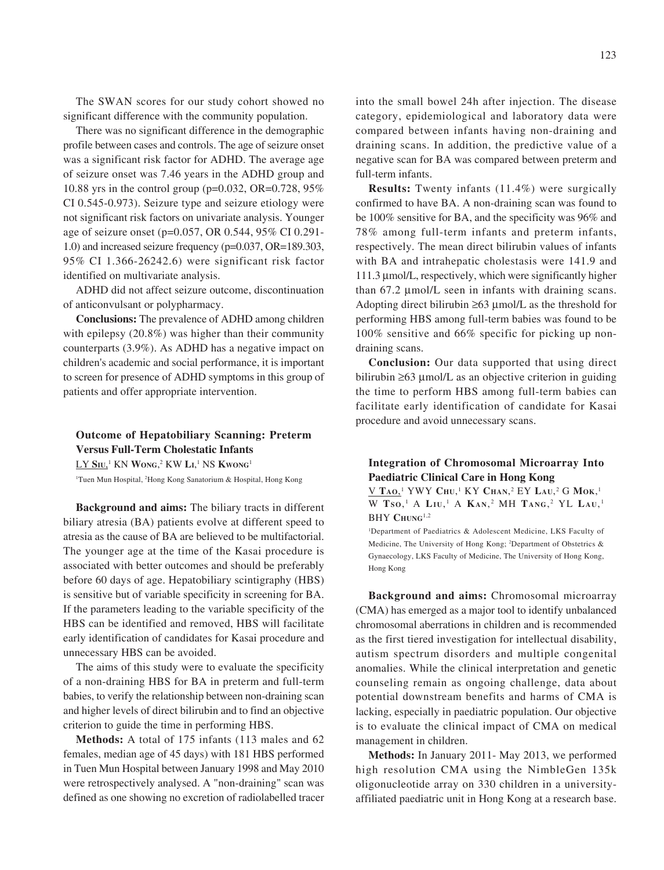The SWAN scores for our study cohort showed no significant difference with the community population.

There was no significant difference in the demographic profile between cases and controls. The age of seizure onset was a significant risk factor for ADHD. The average age of seizure onset was 7.46 years in the ADHD group and 10.88 yrs in the control group (p=0.032, OR=0.728, 95% CI 0.545-0.973). Seizure type and seizure etiology were not significant risk factors on univariate analysis. Younger age of seizure onset (p=0.057, OR 0.544, 95% CI 0.291- 1.0) and increased seizure frequency (p=0.037, OR=189.303, 95% CI 1.366-26242.6) were significant risk factor identified on multivariate analysis.

ADHD did not affect seizure outcome, discontinuation of anticonvulsant or polypharmacy.

**Conclusions:** The prevalence of ADHD among children with epilepsy (20.8%) was higher than their community counterparts (3.9%). As ADHD has a negative impact on children's academic and social performance, it is important to screen for presence of ADHD symptoms in this group of patients and offer appropriate intervention.

# **Outcome of Hepatobiliary Scanning: Preterm Versus Full-Term Cholestatic Infants**  $L$ Y Siu,<sup>1</sup> KN Wong,<sup>2</sup> KW Li,<sup>1</sup> NS Kwong<sup>1</sup>

1 Tuen Mun Hospital, 2 Hong Kong Sanatorium & Hospital, Hong Kong

**Background and aims:** The biliary tracts in different biliary atresia (BA) patients evolve at different speed to atresia as the cause of BA are believed to be multifactorial. The younger age at the time of the Kasai procedure is associated with better outcomes and should be preferably before 60 days of age. Hepatobiliary scintigraphy (HBS) is sensitive but of variable specificity in screening for BA. If the parameters leading to the variable specificity of the HBS can be identified and removed, HBS will facilitate early identification of candidates for Kasai procedure and unnecessary HBS can be avoided.

The aims of this study were to evaluate the specificity of a non-draining HBS for BA in preterm and full-term babies, to verify the relationship between non-draining scan and higher levels of direct bilirubin and to find an objective criterion to guide the time in performing HBS.

**Methods:** A total of 175 infants (113 males and 62 females, median age of 45 days) with 181 HBS performed in Tuen Mun Hospital between January 1998 and May 2010 were retrospectively analysed. A "non-draining" scan was defined as one showing no excretion of radiolabelled tracer

into the small bowel 24h after injection. The disease category, epidemiological and laboratory data were compared between infants having non-draining and draining scans. In addition, the predictive value of a negative scan for BA was compared between preterm and full-term infants.

**Results:** Twenty infants (11.4%) were surgically confirmed to have BA. A non-draining scan was found to be 100% sensitive for BA, and the specificity was 96% and 78% among full-term infants and preterm infants, respectively. The mean direct bilirubin values of infants with BA and intrahepatic cholestasis were 141.9 and 111.3 µmol/L, respectively, which were significantly higher than 67.2 µmol/L seen in infants with draining scans. Adopting direct bilirubin ≥63 µmol/L as the threshold for performing HBS among full-term babies was found to be 100% sensitive and 66% specific for picking up nondraining scans.

**Conclusion:** Our data supported that using direct bilirubin ≥63 µmol/L as an objective criterion in guiding the time to perform HBS among full-term babies can facilitate early identification of candidate for Kasai procedure and avoid unnecessary scans.

### **Integration of Chromosomal Microarray Into Paediatric Clinical Care in Hong Kong**

V **TAO**, 1 YWY **CHU**, 1 KY **CHAN**, 2 EY **LAU**, 2 G **MOK**, 1 W **TS O**, 1 A **LI U**, 1 A **KA N**, 2 MH **TANG**, 2 YL **LA U**, <sup>1</sup> BHY CHUNG<sup>1,2</sup>

1 Department of Paediatrics & Adolescent Medicine, LKS Faculty of Medicine, The University of Hong Kong; <sup>2</sup>Department of Obstetrics & Gynaecology, LKS Faculty of Medicine, The University of Hong Kong, Hong Kong

**Background and aims:** Chromosomal microarray (CMA) has emerged as a major tool to identify unbalanced chromosomal aberrations in children and is recommended as the first tiered investigation for intellectual disability, autism spectrum disorders and multiple congenital anomalies. While the clinical interpretation and genetic counseling remain as ongoing challenge, data about potential downstream benefits and harms of CMA is lacking, especially in paediatric population. Our objective is to evaluate the clinical impact of CMA on medical management in children.

**Methods:** In January 2011- May 2013, we performed high resolution CMA using the NimbleGen 135k oligonucleotide array on 330 children in a universityaffiliated paediatric unit in Hong Kong at a research base.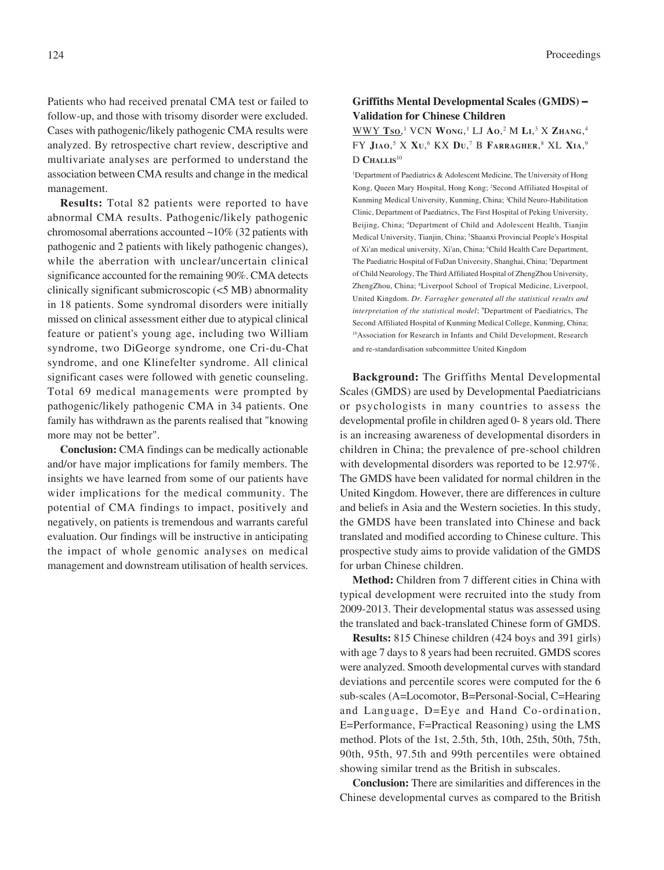Patients who had received prenatal CMA test or failed to follow-up, and those with trisomy disorder were excluded. Cases with pathogenic/likely pathogenic CMA results were analyzed. By retrospective chart review, descriptive and multivariate analyses are performed to understand the association between CMA results and change in the medical management.

**Results:** Total 82 patients were reported to have abnormal CMA results. Pathogenic/likely pathogenic chromosomal aberrations accounted ~10% (32 patients with pathogenic and 2 patients with likely pathogenic changes), while the aberration with unclear/uncertain clinical significance accounted for the remaining 90%. CMA detects clinically significant submicroscopic (<5 MB) abnormality in 18 patients. Some syndromal disorders were initially missed on clinical assessment either due to atypical clinical feature or patient's young age, including two William syndrome, two DiGeorge syndrome, one Cri-du-Chat syndrome, and one Klinefelter syndrome. All clinical significant cases were followed with genetic counseling. Total 69 medical managements were prompted by pathogenic/likely pathogenic CMA in 34 patients. One family has withdrawn as the parents realised that "knowing more may not be better".

**Conclusion:** CMA findings can be medically actionable and/or have major implications for family members. The insights we have learned from some of our patients have wider implications for the medical community. The potential of CMA findings to impact, positively and negatively, on patients is tremendous and warrants careful evaluation. Our findings will be instructive in anticipating the impact of whole genomic analyses on medical management and downstream utilisation of health services.

### **Griffiths Mental Developmental Scales (GMDS)** − **Validation for Chinese Children**

### WWY **TSO**, 1 VCN **WONG**, 1 LJ **AO**, 2 M **LI**, 3 X **ZHANG**, 4 FY **JIAO**, 5 X **XU**, 6 KX **DU**, 7 B **FARRAGHER**, 8 XL **XIA**, 9 D **CHALLIS**<sup>10</sup>

1 Department of Paediatrics & Adolescent Medicine, The University of Hong Kong, Queen Mary Hospital, Hong Kong; <sup>2</sup>Second Affiliated Hospital of Kunming Medical University, Kunming, China; 3 Child Neuro-Habilitation Clinic, Department of Paediatrics, The First Hospital of Peking University, Beijing, China; 4 Department of Child and Adolescent Health, Tianjin Medical University, Tianjin, China; <sup>5</sup>Shaanxi Provincial People's Hospital of Xi'an medical university, Xi'an, China; <sup>6</sup>Child Health Care Department, The Paediatric Hospital of FuDan University, Shanghai, China; 7 Department of Child Neurology, The Third Affiliated Hospital of ZhengZhou University, ZhengZhou, China; <sup>8</sup>Liverpool School of Tropical Medicine, Liverpool, United Kingdom. *Dr. Farragher generated all the statistical results and interpretation of the statistical model*; 9 Department of Paediatrics, The Second Affiliated Hospital of Kunming Medical College, Kunming, China; 10Association for Research in Infants and Child Development, Research and re-standardisation subcommittee United Kingdom

**Background:** The Griffiths Mental Developmental Scales (GMDS) are used by Developmental Paediatricians or psychologists in many countries to assess the developmental profile in children aged 0- 8 years old. There is an increasing awareness of developmental disorders in children in China; the prevalence of pre-school children with developmental disorders was reported to be 12.97%. The GMDS have been validated for normal children in the United Kingdom. However, there are differences in culture and beliefs in Asia and the Western societies. In this study, the GMDS have been translated into Chinese and back translated and modified according to Chinese culture. This prospective study aims to provide validation of the GMDS for urban Chinese children.

**Method:** Children from 7 different cities in China with typical development were recruited into the study from 2009-2013. Their developmental status was assessed using the translated and back-translated Chinese form of GMDS.

**Results:** 815 Chinese children (424 boys and 391 girls) with age 7 days to 8 years had been recruited. GMDS scores were analyzed. Smooth developmental curves with standard deviations and percentile scores were computed for the 6 sub-scales (A=Locomotor, B=Personal-Social, C=Hearing and Language, D=Eye and Hand Co-ordination, E=Performance, F=Practical Reasoning) using the LMS method. Plots of the 1st, 2.5th, 5th, 10th, 25th, 50th, 75th, 90th, 95th, 97.5th and 99th percentiles were obtained showing similar trend as the British in subscales.

**Conclusion:** There are similarities and differences in the Chinese developmental curves as compared to the British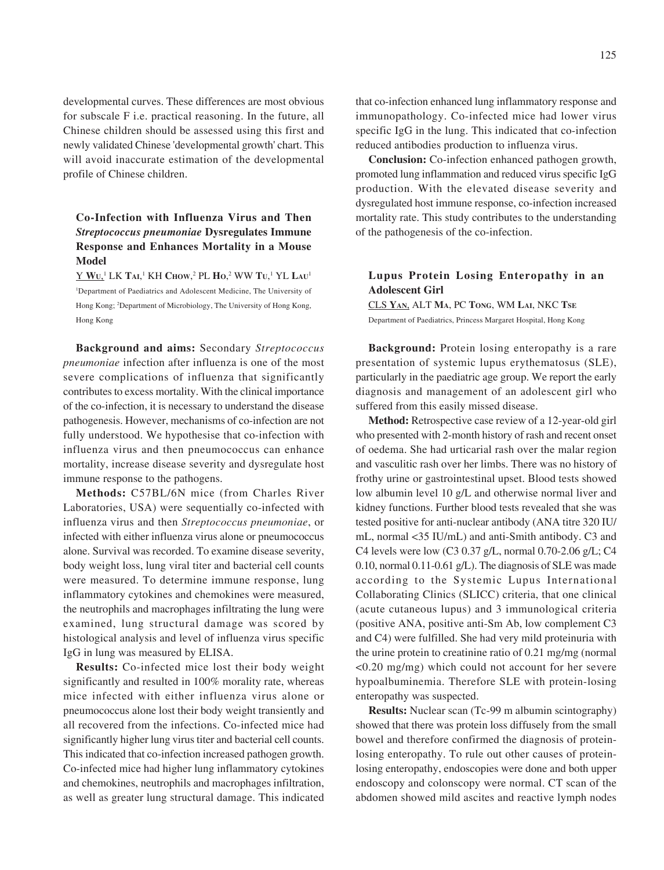developmental curves. These differences are most obvious for subscale F i.e. practical reasoning. In the future, all Chinese children should be assessed using this first and newly validated Chinese 'developmental growth' chart. This will avoid inaccurate estimation of the developmental profile of Chinese children.

# **Co-Infection with Influenza Virus and Then** *Streptococcus pneumoniae* **Dysregulates Immune Response and Enhances Mortality in a Mouse Model**

Y **WU**, 1 LK **TAI**, 1 KH **CHOW**, 2 PL **HO**, 2 WW **TU**, 1 YL **LAU**<sup>1</sup> 1 Department of Paediatrics and Adolescent Medicine, The University of Hong Kong; 2 Department of Microbiology, The University of Hong Kong, Hong Kong

**Background and aims:** Secondary *Streptococcus pneumoniae* infection after influenza is one of the most severe complications of influenza that significantly contributes to excess mortality. With the clinical importance of the co-infection, it is necessary to understand the disease pathogenesis. However, mechanisms of co-infection are not fully understood. We hypothesise that co-infection with influenza virus and then pneumococcus can enhance mortality, increase disease severity and dysregulate host immune response to the pathogens.

**Methods:** C57BL/6N mice (from Charles River Laboratories, USA) were sequentially co-infected with influenza virus and then *Streptococcus pneumoniae*, or infected with either influenza virus alone or pneumococcus alone. Survival was recorded. To examine disease severity, body weight loss, lung viral titer and bacterial cell counts were measured. To determine immune response, lung inflammatory cytokines and chemokines were measured, the neutrophils and macrophages infiltrating the lung were examined, lung structural damage was scored by histological analysis and level of influenza virus specific IgG in lung was measured by ELISA.

**Results:** Co-infected mice lost their body weight significantly and resulted in 100% morality rate, whereas mice infected with either influenza virus alone or pneumococcus alone lost their body weight transiently and all recovered from the infections. Co-infected mice had significantly higher lung virus titer and bacterial cell counts. This indicated that co-infection increased pathogen growth. Co-infected mice had higher lung inflammatory cytokines and chemokines, neutrophils and macrophages infiltration, as well as greater lung structural damage. This indicated

that co-infection enhanced lung inflammatory response and immunopathology. Co-infected mice had lower virus specific IgG in the lung. This indicated that co-infection reduced antibodies production to influenza virus.

**Conclusion:** Co-infection enhanced pathogen growth, promoted lung inflammation and reduced virus specific IgG production. With the elevated disease severity and dysregulated host immune response, co-infection increased mortality rate. This study contributes to the understanding of the pathogenesis of the co-infection.

### **Lupus Protein Losing Enteropathy in an Adolescent Girl**

CLS **YAN**, ALT **MA**, PC **TONG**, WM **LAI**, NKC **TSE** Department of Paediatrics, Princess Margaret Hospital, Hong Kong

**Background:** Protein losing enteropathy is a rare presentation of systemic lupus erythematosus (SLE), particularly in the paediatric age group. We report the early diagnosis and management of an adolescent girl who suffered from this easily missed disease.

**Method:** Retrospective case review of a 12-year-old girl who presented with 2-month history of rash and recent onset of oedema. She had urticarial rash over the malar region and vasculitic rash over her limbs. There was no history of frothy urine or gastrointestinal upset. Blood tests showed low albumin level 10 g/L and otherwise normal liver and kidney functions. Further blood tests revealed that she was tested positive for anti-nuclear antibody (ANA titre 320 IU/ mL, normal <35 IU/mL) and anti-Smith antibody. C3 and C4 levels were low (C3 0.37 g/L, normal 0.70-2.06 g/L; C4 0.10, normal 0.11-0.61 g/L). The diagnosis of SLE was made according to the Systemic Lupus International Collaborating Clinics (SLICC) criteria, that one clinical (acute cutaneous lupus) and 3 immunological criteria (positive ANA, positive anti-Sm Ab, low complement C3 and C4) were fulfilled. She had very mild proteinuria with the urine protein to creatinine ratio of 0.21 mg/mg (normal <0.20 mg/mg) which could not account for her severe hypoalbuminemia. Therefore SLE with protein-losing enteropathy was suspected.

**Results:** Nuclear scan (Tc-99 m albumin scintography) showed that there was protein loss diffusely from the small bowel and therefore confirmed the diagnosis of proteinlosing enteropathy. To rule out other causes of proteinlosing enteropathy, endoscopies were done and both upper endoscopy and colonscopy were normal. CT scan of the abdomen showed mild ascites and reactive lymph nodes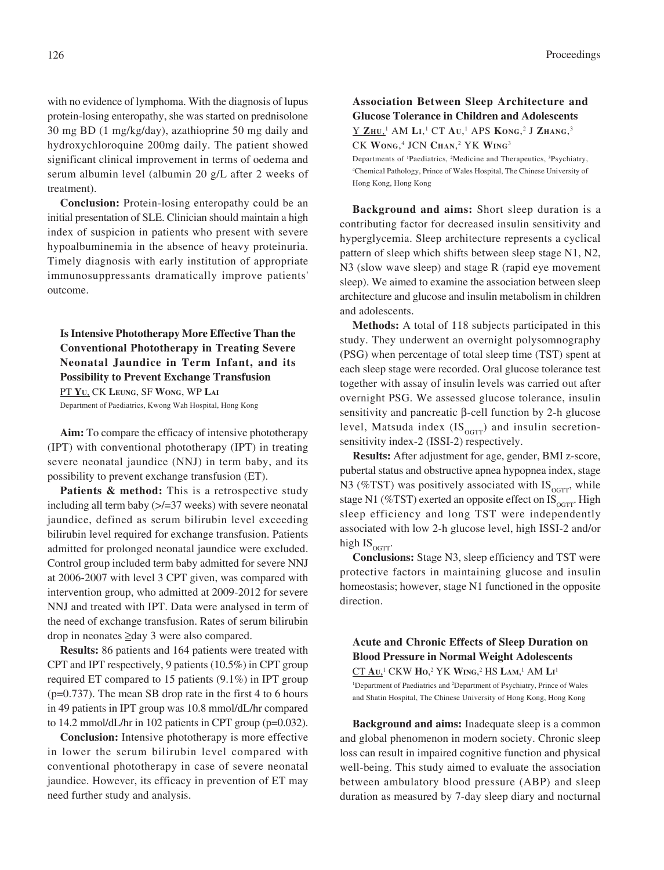with no evidence of lymphoma. With the diagnosis of lupus protein-losing enteropathy, she was started on prednisolone 30 mg BD (1 mg/kg/day), azathioprine 50 mg daily and hydroxychloroquine 200mg daily. The patient showed significant clinical improvement in terms of oedema and serum albumin level (albumin 20 g/L after 2 weeks of treatment).

**Conclusion:** Protein-losing enteropathy could be an initial presentation of SLE. Clinician should maintain a high index of suspicion in patients who present with severe hypoalbuminemia in the absence of heavy proteinuria. Timely diagnosis with early institution of appropriate immunosuppressants dramatically improve patients' outcome.

**Is Intensive Phototherapy More Effective Than the Conventional Phototherapy in Treating Severe Neonatal Jaundice in Term Infant, and its Possibility to Prevent Exchange Transfusion** PT **YU**, CK **LEUNG**, SF **WONG**, WP **LAI**

Department of Paediatrics, Kwong Wah Hospital, Hong Kong

**Aim:** To compare the efficacy of intensive phototherapy (IPT) with conventional phototherapy (IPT) in treating severe neonatal jaundice (NNJ) in term baby, and its possibility to prevent exchange transfusion (ET).

Patients & method: This is a retrospective study including all term baby  $\ge$  = 37 weeks) with severe neonatal jaundice, defined as serum bilirubin level exceeding bilirubin level required for exchange transfusion. Patients admitted for prolonged neonatal jaundice were excluded. Control group included term baby admitted for severe NNJ at 2006-2007 with level 3 CPT given, was compared with intervention group, who admitted at 2009-2012 for severe NNJ and treated with IPT. Data were analysed in term of the need of exchange transfusion. Rates of serum bilirubin drop in neonates ≥day 3 were also compared.

**Results:** 86 patients and 164 patients were treated with CPT and IPT respectively, 9 patients (10.5%) in CPT group required ET compared to 15 patients (9.1%) in IPT group (p=0.737). The mean SB drop rate in the first 4 to 6 hours in 49 patients in IPT group was 10.8 mmol/dL/hr compared to 14.2 mmol/dL/hr in 102 patients in CPT group (p=0.032).

**Conclusion:** Intensive phototherapy is more effective in lower the serum bilirubin level compared with conventional phototherapy in case of severe neonatal jaundice. However, its efficacy in prevention of ET may need further study and analysis.

# **Association Between Sleep Architecture and Glucose Tolerance in Children and Adolescents**  $\underline{\text{Y ZHU.}}^1$  AM  $\text{Li.}^1$  CT  $\text{Au.}^1$  APS  $\text{Kong.}^2$  J  $\text{Zhang.}^3$

CK **WONG**, 4 JCN **CHAN**, 2 YK **WING**<sup>3</sup>

Departments of <sup>1</sup>Paediatrics, <sup>2</sup>Medicine and Therapeutics, <sup>3</sup>Psychiatry, 4 Chemical Pathology, Prince of Wales Hospital, The Chinese University of Hong Kong, Hong Kong

**Background and aims:** Short sleep duration is a contributing factor for decreased insulin sensitivity and hyperglycemia. Sleep architecture represents a cyclical pattern of sleep which shifts between sleep stage N1, N2, N3 (slow wave sleep) and stage R (rapid eye movement sleep). We aimed to examine the association between sleep architecture and glucose and insulin metabolism in children and adolescents.

**Methods:** A total of 118 subjects participated in this study. They underwent an overnight polysomnography (PSG) when percentage of total sleep time (TST) spent at each sleep stage were recorded. Oral glucose tolerance test together with assay of insulin levels was carried out after overnight PSG. We assessed glucose tolerance, insulin sensitivity and pancreatic β-cell function by 2-h glucose level, Matsuda index  $(IS<sub>ocTT</sub>)$  and insulin secretionsensitivity index-2 (ISSI-2) respectively.

**Results:** After adjustment for age, gender, BMI z-score, pubertal status and obstructive apnea hypopnea index, stage N3 (%TST) was positively associated with  $IS_{\text{OGTT}}$ , while stage N1 (%TST) exerted an opposite effect on  $IS_{\text{ocrr}}$ . High sleep efficiency and long TST were independently associated with low 2-h glucose level, high ISSI-2 and/or high  $IS_{\text{ocrt}}$ .

**Conclusions:** Stage N3, sleep efficiency and TST were protective factors in maintaining glucose and insulin homeostasis; however, stage N1 functioned in the opposite direction.

**Acute and Chronic Effects of Sleep Duration on Blood Pressure in Normal Weight Adolescents** CT **AU**, 1 CKW **HO**, 2 YK **WING**, 2 HS **LAM**, 1 AM **LI** 1 <sup>1</sup>Department of Paediatrics and <sup>2</sup>Department of Psychiatry, Prince of Wales and Shatin Hospital, The Chinese University of Hong Kong, Hong Kong

**Background and aims:** Inadequate sleep is a common and global phenomenon in modern society. Chronic sleep loss can result in impaired cognitive function and physical well-being. This study aimed to evaluate the association between ambulatory blood pressure (ABP) and sleep duration as measured by 7-day sleep diary and nocturnal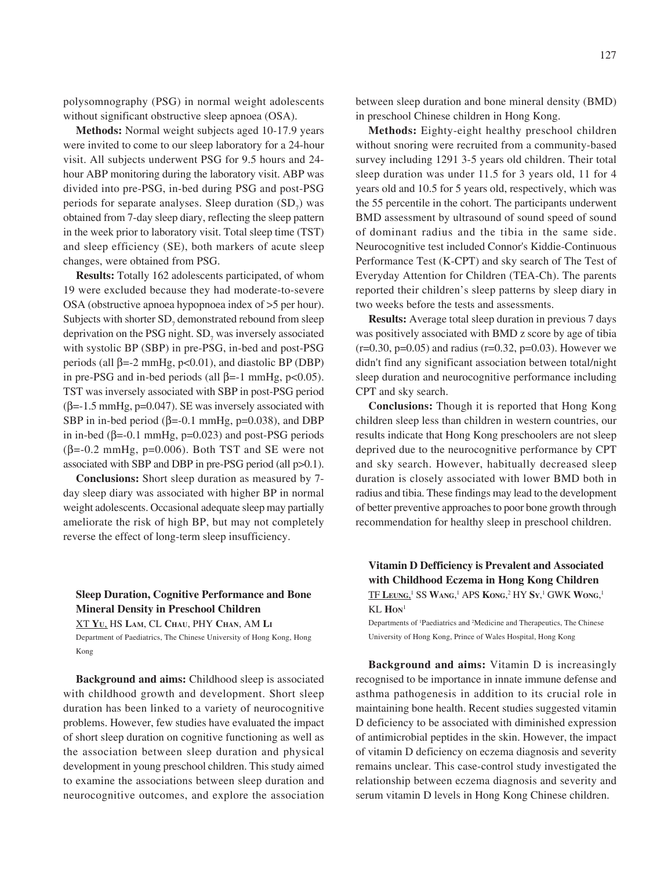polysomnography (PSG) in normal weight adolescents without significant obstructive sleep apnoea (OSA).

**Methods:** Normal weight subjects aged 10-17.9 years were invited to come to our sleep laboratory for a 24-hour visit. All subjects underwent PSG for 9.5 hours and 24 hour ABP monitoring during the laboratory visit. ABP was divided into pre-PSG, in-bed during PSG and post-PSG periods for separate analyses. Sleep duration  $(SD<sub>7</sub>)$  was obtained from 7-day sleep diary, reflecting the sleep pattern in the week prior to laboratory visit. Total sleep time (TST) and sleep efficiency (SE), both markers of acute sleep changes, were obtained from PSG.

**Results:** Totally 162 adolescents participated, of whom 19 were excluded because they had moderate-to-severe OSA (obstructive apnoea hypopnoea index of >5 per hour). Subjects with shorter  $SD_7$  demonstrated rebound from sleep deprivation on the PSG night.  $SD_7$  was inversely associated with systolic BP (SBP) in pre-PSG, in-bed and post-PSG periods (all  $β = -2$  mmHg,  $p < 0.01$ ), and diastolic BP (DBP) in pre-PSG and in-bed periods (all  $\beta$ =-1 mmHg, p<0.05). TST was inversely associated with SBP in post-PSG period  $(\beta=1.5 \text{ mmHg}, \text{p}=0.047)$ . SE was inversely associated with SBP in in-bed period ( $\beta$ =-0.1 mmHg, p=0.038), and DBP in in-bed ( $β = -0.1$  mmHg,  $p = 0.023$ ) and post-PSG periods  $(\beta = -0.2 \text{ mmHg}, \text{p} = 0.006)$ . Both TST and SE were not associated with SBP and DBP in pre-PSG period (all p>0.1).

**Conclusions:** Short sleep duration as measured by 7 day sleep diary was associated with higher BP in normal weight adolescents. Occasional adequate sleep may partially ameliorate the risk of high BP, but may not completely reverse the effect of long-term sleep insufficiency.

# **Sleep Duration, Cognitive Performance and Bone Mineral Density in Preschool Children**

XT **YU**, HS **LAM**, CL **CHAU**, PHY **CHAN**, AM **LI**

Department of Paediatrics, The Chinese University of Hong Kong, Hong Kong

**Background and aims:** Childhood sleep is associated with childhood growth and development. Short sleep duration has been linked to a variety of neurocognitive problems. However, few studies have evaluated the impact of short sleep duration on cognitive functioning as well as the association between sleep duration and physical development in young preschool children. This study aimed to examine the associations between sleep duration and neurocognitive outcomes, and explore the association between sleep duration and bone mineral density (BMD) in preschool Chinese children in Hong Kong.

**Methods:** Eighty-eight healthy preschool children without snoring were recruited from a community-based survey including 1291 3-5 years old children. Their total sleep duration was under 11.5 for 3 years old, 11 for 4 years old and 10.5 for 5 years old, respectively, which was the 55 percentile in the cohort. The participants underwent BMD assessment by ultrasound of sound speed of sound of dominant radius and the tibia in the same side. Neurocognitive test included Connor's Kiddie-Continuous Performance Test (K-CPT) and sky search of The Test of Everyday Attention for Children (TEA-Ch). The parents reported their children's sleep patterns by sleep diary in two weeks before the tests and assessments.

**Results:** Average total sleep duration in previous 7 days was positively associated with BMD z score by age of tibia  $(r=0.30, p=0.05)$  and radius  $(r=0.32, p=0.03)$ . However we didn't find any significant association between total/night sleep duration and neurocognitive performance including CPT and sky search.

**Conclusions:** Though it is reported that Hong Kong children sleep less than children in western countries, our results indicate that Hong Kong preschoolers are not sleep deprived due to the neurocognitive performance by CPT and sky search. However, habitually decreased sleep duration is closely associated with lower BMD both in radius and tibia. These findings may lead to the development of better preventive approaches to poor bone growth through recommendation for healthy sleep in preschool children.

**Vitamin D Defficiency is Prevalent and Associated with Childhood Eczema in Hong Kong Children**  $TF$  Leung,<sup>1</sup> SS Wang,<sup>1</sup> APS Kong,<sup>2</sup> HY Sy,<sup>1</sup> GWK Wong,<sup>1</sup> KL **HON**<sup>1</sup>

Departments of <sup>1</sup>Paediatrics and <sup>2</sup>Medicine and Therapeutics, The Chinese University of Hong Kong, Prince of Wales Hospital, Hong Kong

**Background and aims:** Vitamin D is increasingly recognised to be importance in innate immune defense and asthma pathogenesis in addition to its crucial role in maintaining bone health. Recent studies suggested vitamin D deficiency to be associated with diminished expression of antimicrobial peptides in the skin. However, the impact of vitamin D deficiency on eczema diagnosis and severity remains unclear. This case-control study investigated the relationship between eczema diagnosis and severity and serum vitamin D levels in Hong Kong Chinese children.